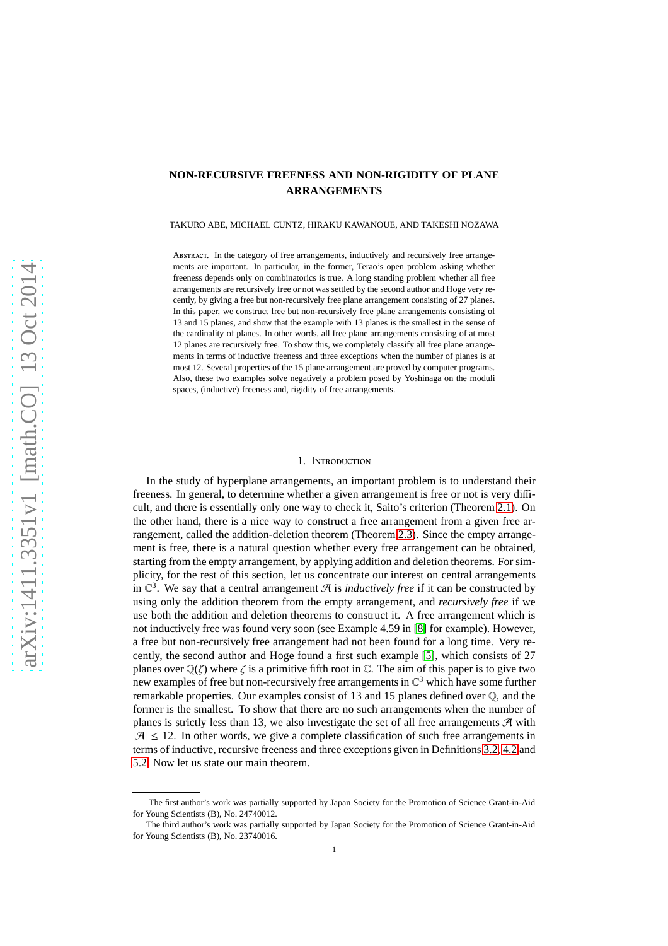# **NON-RECURSIVE FREENESS AND NON-RIGIDITY OF PLANE ARRANGEMENTS**

TAKURO ABE, MICHAEL CUNTZ, HIRAKU KAWANOUE, AND TAKESHI NOZAWA

ABSTRACT. In the category of free arrangements, inductively and recursively free arrangements are important. In particular, in the former, Terao's open problem asking whether freeness depends only on combinatorics is true. A long standing problem whether all free arrangements are recursively free or not was settled by the second author and Hoge very recently, by giving a free but non-recursively free plane arrangement consisting of 27 planes. In this paper, we construct free but non-recursively free plane arrangements consisting of 13 and 15 planes, and show that the example with 13 planes is the smallest in the sense of the cardinality of planes. In other words, all free plane arrangements consisting of at most 12 planes are recursively free. To show this, we completely classify all free plane arrangements in terms of inductive freeness and three exceptions when the number of planes is at most 12. Several properties of the 15 plane arrangement are proved by computer programs. Also, these two examples solve negatively a problem posed by Yoshinaga on the moduli spaces, (inductive) freeness and, rigidity of free arrangements.

### 1. Introduction

In the study of hyperplane arrangements, an important problem is to understand their freeness. In general, to determine whether a given arrangement is free or not is very difficult, and there is essentially only one way to check it, Saito's criterion (Theorem [2.1\)](#page-3-0). On the other hand, there is a nice way to construct a free arrangement from a given free arrangement, called the addition-deletion theorem (Theorem [2.3\)](#page-3-1). Since the empty arrangement is free, there is a natural question whether every free arrangement can be obtained, starting from the empty arrangement, by applying addition and deletion theorems. For simplicity, for the rest of this section, let us concentrate our interest on central arrangements in  $\mathbb{C}^3$ . We say that a central arrangement  $\mathcal A$  is *inductively free* if it can be constructed by using only the addition theorem from the empty arrangement, and *recursively free* if we use both the addition and deletion theorems to construct it. A free arrangement which is not inductively free was found very soon (see Example 4.59 in [\[8\]](#page-20-0) for example). However, a free but non-recursively free arrangement had not been found for a long time. Very recently, the second author and Hoge found a first such example [\[5\]](#page-20-1), which consists of 27 planes over  $\mathbb{Q}(\zeta)$  where  $\zeta$  is a primitive fifth root in  $\mathbb{C}$ . The aim of this paper is to give two new examples of free but non-recursively free arrangements in  $\mathbb{C}^3$  which have some further remarkable properties. Our examples consist of 13 and 15 planes defined over Q, and the former is the smallest. To show that there are no such arrangements when the number of planes is strictly less than 13, we also investigate the set of all free arrangements  $\mathcal{A}$  with  $|\mathcal{A}| \leq 12$ . In other words, we give a complete classification of such free arrangements in terms of inductive, recursive freeness and three exceptions given in Definitions [3.2,](#page-7-0) [4.2](#page-11-0) and [5.2.](#page-13-0) Now let us state our main theorem.

The first author's work was partially supported by Japan Society for the Promotion of Science Grant-in-Aid for Young Scientists (B), No. 24740012.

The third author's work was partially supported by Japan Society for the Promotion of Science Grant-in-Aid for Young Scientists (B), No. 23740016.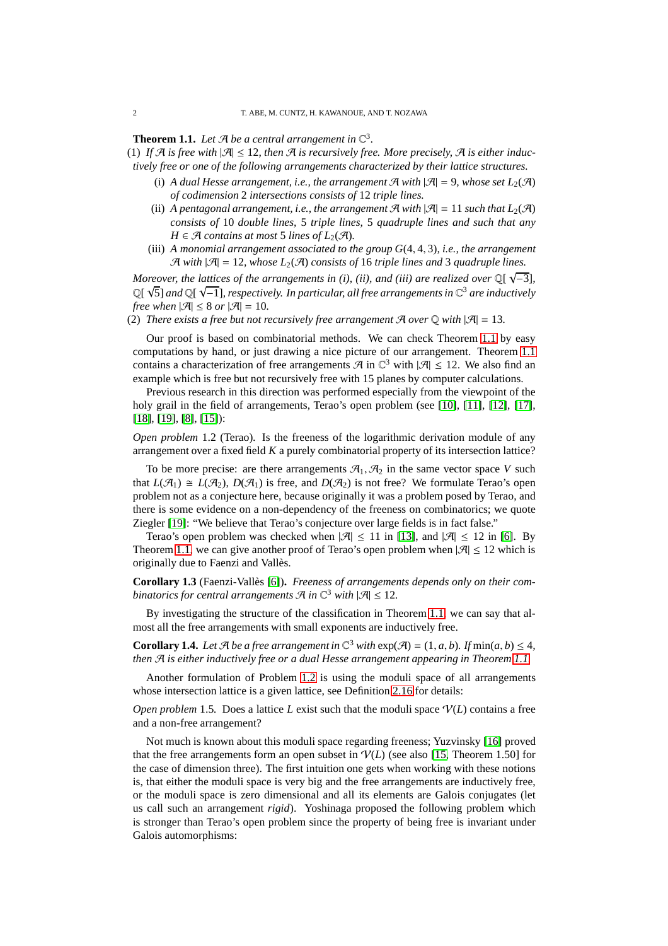<span id="page-1-0"></span>**Theorem 1.1.** Let  $\mathcal{A}$  be a central arrangement in  $\mathbb{C}^3$ .

(1) If  $\mathcal A$  *is free with*  $|\mathcal A| \le 12$ , then  $\mathcal A$  *is recursively free. More precisely,*  $\mathcal A$  *is either inductively free or one of the following arrangements characterized by their lattice structures.*

- (i) *A dual Hesse arrangement, i.e., the arrangement*  $\mathcal{A}$  *with*  $|\mathcal{A}| = 9$ *, whose set*  $L_2(\mathcal{A})$ *of codimension* 2 *intersections consists of* 12 *triple lines.*
- (ii) *A pentagonal arrangement, i.e., the arrangement*  $\mathcal{A}$  *with*  $|\mathcal{A}| = 11$  *such that*  $L_2(\mathcal{A})$ *consists of* 10 *double lines,* 5 *triple lines,* 5 *quadruple lines and such that any H* ∈ *A contains at most* 5 *lines of*  $L_2(\mathcal{A})$ *.*
- (iii) *A monomial arrangement associated to the group G*(4, 4, 3)*, i.e., the arrangement*  $\mathcal{A}$  *with*  $|\mathcal{A}| = 12$ *, whose*  $L_2(\mathcal{A})$  *consists of* 16 *triple lines and* 3 *quadruple lines.*

*Moreover, the lattices of the arrangements in (i), (ii), and (iii) are realized over*  $\mathbb{Q}[\sqrt{-3}]$ *,* Q[ √ 5] *and* Q[ √ −1]*, respectively. In particular, all free arrangements in* C <sup>3</sup> *are inductively free when*  $|\mathcal{A}| \leq 8$  *or*  $|\mathcal{A}| = 10$ *.* 

(2) *There exists a free but not recursively free arrangement*  $\mathcal{A}$  *over*  $\mathbb{Q}$  *with*  $|\mathcal{A}| = 13$ *.* 

Our proof is based on combinatorial methods. We can check Theorem [1.1](#page-1-0) by easy computations by hand, or just drawing a nice picture of our arrangement. Theorem [1.1](#page-1-0) contains a characterization of free arrangements  $\mathcal{A}$  in  $\mathbb{C}^3$  with  $|\mathcal{A}| \leq 12$ . We also find an example which is free but not recursively free with 15 planes by computer calculations.

Previous research in this direction was performed especially from the viewpoint of the holy grail in the field of arrangements, Terao's open problem (see [\[10\]](#page-20-2), [\[11\]](#page-20-3), [\[12\]](#page-20-4), [\[17\]](#page-20-5), [\[18\]](#page-20-6), [\[19\]](#page-20-7), [\[8\]](#page-20-0), [\[15\]](#page-20-8)):

<span id="page-1-1"></span>*Open problem* 1.2 (Terao)*.* Is the freeness of the logarithmic derivation module of any arrangement over a fixed field *K* a purely combinatorial property of its intersection lattice?

To be more precise: are there arrangements  $\mathcal{A}_1, \mathcal{A}_2$  in the same vector space *V* such that  $L(\mathcal{A}_1) \cong L(\mathcal{A}_2)$ ,  $D(\mathcal{A}_1)$  is free, and  $D(\mathcal{A}_2)$  is not free? We formulate Terao's open problem not as a conjecture here, because originally it was a problem posed by Terao, and there is some evidence on a non-dependency of the freeness on combinatorics; we quote Ziegler [\[19\]](#page-20-7): "We believe that Terao's conjecture over large fields is in fact false."

Terao's open problem was checked when  $|\mathcal{A}| \leq 11$  in [\[13\]](#page-20-9), and  $|\mathcal{A}| \leq 12$  in [\[6\]](#page-20-10). By Theorem [1.1,](#page-1-0) we can give another proof of Terao's open problem when  $|\mathcal{A}| \leq 12$  which is originally due to Faenzi and Vallès.

**Corollary 1.3** (Faenzi-Vallès [\[6\]](#page-20-10)). *Freeness of arrangements depends only on their combinatorics for central arrangements*  $\mathcal{A}$  *in*  $\mathbb{C}^3$  *with*  $|\mathcal{A}| \leq 12$ *.* 

By investigating the structure of the classification in Theorem [1.1,](#page-1-0) we can say that almost all the free arrangements with small exponents are inductively free.

<span id="page-1-2"></span>**Corollary 1.4.** *Let*  $\mathcal{A}$  *be a free arrangement in*  $\mathbb{C}^3$  *with*  $\exp(\mathcal{A}) = (1, a, b)$ *. If*  $\min(a, b) \leq 4$ *, then* A *is either inductively free or a dual Hesse arrangement appearing in Theorem [1.1.](#page-1-0)*

Another formulation of Problem [1.2](#page-1-1) is using the moduli space of all arrangements whose intersection lattice is a given lattice, see Definition [2.16](#page-6-0) for details:

*Open problem* 1.5. Does a lattice *L* exist such that the moduli space  $V(L)$  contains a free and a non-free arrangement?

Not much is known about this moduli space regarding freeness; Yuzvinsky [\[16\]](#page-20-11) proved that the free arrangements form an open subset in  $V(L)$  (see also [\[15,](#page-20-8) Theorem 1.50] for the case of dimension three). The first intuition one gets when working with these notions is, that either the moduli space is very big and the free arrangements are inductively free, or the moduli space is zero dimensional and all its elements are Galois conjugates (let us call such an arrangement *rigid*). Yoshinaga proposed the following problem which is stronger than Terao's open problem since the property of being free is invariant under Galois automorphisms: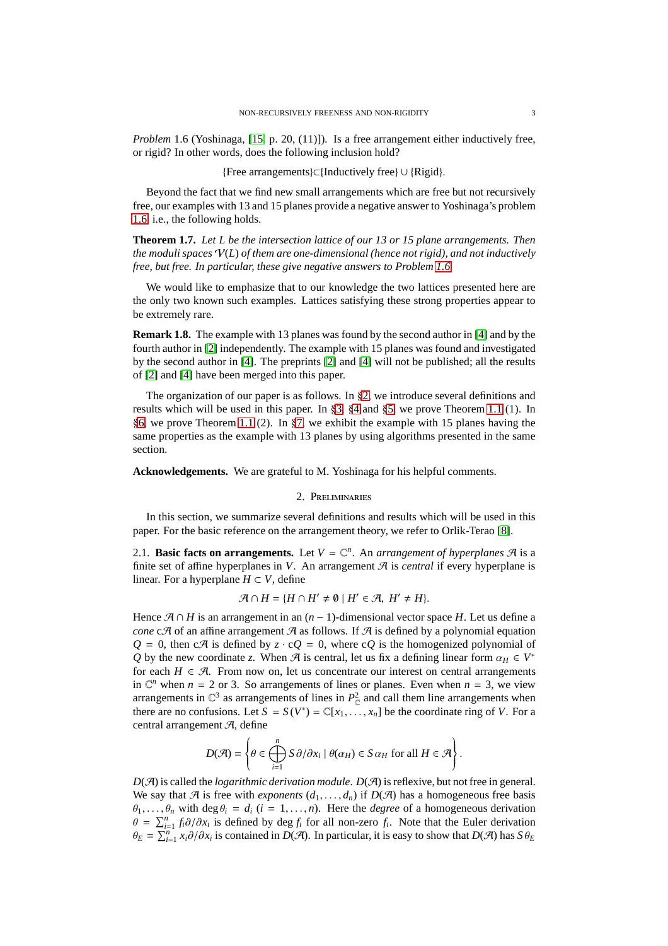<span id="page-2-0"></span>*Problem* 1.6 (Yoshinaga, [\[15,](#page-20-8) p. 20, (11)])*.* Is a free arrangement either inductively free, or rigid? In other words, does the following inclusion hold?

{Free arrangements}⊂{Inductively free} ∪ {Rigid}.

Beyond the fact that we find new small arrangements which are free but not recursively free, our examples with 13 and 15 planes provide a negative answer to Yoshinaga's problem [1.6,](#page-2-0) i.e., the following holds.

**Theorem 1.7.** *Let L be the intersection lattice of our 13 or 15 plane arrangements. Then the moduli spaces* V(*L*) *of them are one-dimensional (hence not rigid), and not inductively free, but free. In particular, these give negative answers to Problem [1.6.](#page-2-0)*

We would like to emphasize that to our knowledge the two lattices presented here are the only two known such examples. Lattices satisfying these strong properties appear to be extremely rare.

**Remark 1.8.** The example with 13 planes was found by the second author in [\[4\]](#page-20-12) and by the fourth author in [\[2\]](#page-20-13) independently. The example with 15 planes was found and investigated by the second author in [\[4\]](#page-20-12). The preprints [\[2\]](#page-20-13) and [\[4\]](#page-20-12) will not be published; all the results of [\[2\]](#page-20-13) and [\[4\]](#page-20-12) have been merged into this paper.

The organization of our paper is as follows. In §[2,](#page-2-1) we introduce several definitions and results which will be used in this paper. In §[3,](#page-6-1) §[4](#page-8-0) and §[5,](#page-12-0) we prove Theorem [1.1](#page-1-0) (1). In §[6,](#page-13-1) we prove Theorem [1.1](#page-1-0) (2). In §[7,](#page-18-0) we exhibit the example with 15 planes having the same properties as the example with 13 planes by using algorithms presented in the same section.

<span id="page-2-1"></span>**Acknowledgements.** We are grateful to M. Yoshinaga for his helpful comments.

#### 2. Preliminaries

In this section, we summarize several definitions and results which will be used in this paper. For the basic reference on the arrangement theory, we refer to Orlik-Terao [\[8\]](#page-20-0).

2.1. **Basic facts on arrangements.** Let  $V = \mathbb{C}^n$ . An *arrangement of hyperplanes*  $\mathcal{A}$  is a finite set of affine hyperplanes in  $V$ . An arrangement  $\mathcal{A}$  is *central* if every hyperplane is linear. For a hyperplane  $H \subset V$ , define

$$
\mathcal{A} \cap H = \{H \cap H' \neq \emptyset \mid H' \in \mathcal{A}, H' \neq H\}.
$$

Hence  $\mathcal{A} ∩ H$  is an arrangement in an  $(n - 1)$ -dimensional vector space *H*. Let us define a *cone* c $\mathcal A$  of an affine arrangement  $\mathcal A$  as follows. If  $\mathcal A$  is defined by a polynomial equation  $Q = 0$ , then cA is defined by  $z \cdot cQ = 0$ , where cQ is the homogenized polynomial of *Q* by the new coordinate *z*. When  $\mathcal{A}$  is central, let us fix a defining linear form  $\alpha_H \in V^*$ for each  $H \in \mathcal{A}$ . From now on, let us concentrate our interest on central arrangements in  $\mathbb{C}^n$  when  $n = 2$  or 3. So arrangements of lines or planes. Even when  $n = 3$ , we view arrangements in  $\mathbb{C}^3$  as arrangements of lines in  $P_{\mathbb{C}}^2$  and call them line arrangements when there are no confusions. Let  $S = S(V^*) = \mathbb{C}[x_1, \ldots, x_n]$  be the coordinate ring of *V*. For a central arrangement  $\mathcal{A}$ , define

$$
D(\mathcal{A}) = \left\{\theta \in \bigoplus_{i=1}^n S \partial/\partial x_i \mid \theta(\alpha_H) \in S \alpha_H \text{ for all } H \in \mathcal{A}\right\}.
$$

 $D(A)$  is called the *logarithmic derivation module*.  $D(A)$  is reflexive, but not free in general. We say that  $A$  is free with *exponents*  $(d_1, \ldots, d_n)$  if  $D(A)$  has a homogeneous free basis  $\theta_1, \ldots, \theta_n$  with deg  $\theta_i = d_i$  ( $i = 1, \ldots, n$ ). Here the *degree* of a homogeneous derivation  $\theta = \sum_{i=1}^{n} f_i \partial/\partial x_i$  is defined by deg *f<sub>i</sub>* for all non-zero *f<sub>i</sub>*. Note that the Euler derivation  $\theta_E = \sum_{i=1}^n x_i \partial/\partial x_i$  is contained in *D*( $\mathcal{A}$ ). In particular, it is easy to show that *D*( $\mathcal{A}$ ) has  $S \theta_E$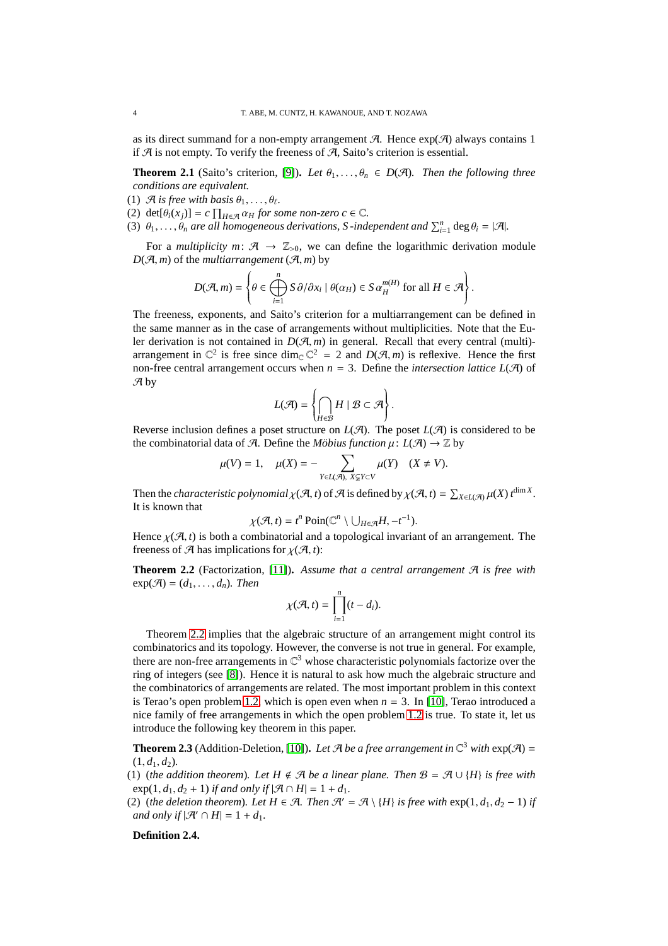as its direct summand for a non-empty arrangement  $A$ . Hence  $exp(A)$  always contains 1 if  $A$  is not empty. To verify the freeness of  $A$ , Saito's criterion is essential.

<span id="page-3-0"></span>**Theorem 2.1** (Saito's criterion, [\[9\]](#page-20-14)). Let  $\theta_1, \ldots, \theta_n \in D(\mathcal{A})$ . Then the following three *conditions are equivalent.*

(1)  $\mathcal{A}$  *is free with basis*  $\theta_1, \ldots, \theta_\ell$ .

(2)  $\det[\theta_i(x_j)] = c \prod_{H \in \mathcal{A}} \alpha_H$  *for some non-zero c*  $\in \mathbb{C}$ *.* 

(3)  $\theta_1, \ldots, \theta_n$  *are all homogeneous derivations, S-independent and*  $\sum_{i=1}^n \deg \theta_i = |\mathcal{A}|$ *.* 

For a *multiplicity*  $m: \mathcal{A} \to \mathbb{Z}_{>0}$ , we can define the logarithmic derivation module  $D(\mathcal{A}, m)$  of the *multiarrangement*  $(\mathcal{A}, m)$  by

$$
D(\mathcal{A},m) = \left\{\theta \in \bigoplus_{i=1}^n S \partial/\partial x_i \mid \theta(\alpha_H) \in S \alpha_H^{m(H)} \text{ for all } H \in \mathcal{A}\right\}.
$$

The freeness, exponents, and Saito's criterion for a multiarrangement can be defined in the same manner as in the case of arrangements without multiplicities. Note that the Euler derivation is not contained in  $D(\mathcal{A}, m)$  in general. Recall that every central (multi)arrangement in  $\mathbb{C}^2$  is free since dim<sub>C</sub>  $\mathbb{C}^2 = 2$  and  $D(\mathcal{A}, m)$  is reflexive. Hence the first non-free central arrangement occurs when  $n = 3$ . Define the *intersection lattice L(A)* of A by

$$
L(\mathcal{A})=\left\{\bigcap_{H\in\mathcal{B}}H\mid \mathcal{B}\subset\mathcal{A}\right\}.
$$

Reverse inclusion defines a poset structure on  $L(\mathcal{A})$ . The poset  $L(\mathcal{A})$  is considered to be the combinatorial data of A. Define the *Möbius function*  $\mu: L(\mathcal{A}) \to \mathbb{Z}$  by

$$
\mu(V) = 1, \quad \mu(X) = -\sum_{Y \in L(\mathcal{A}), \ X \subsetneq Y \subset V} \mu(Y) \quad (X \neq V).
$$

Then the *characteristic polynomial*  $\chi(\mathcal{A}, t)$  of  $\mathcal{A}$  is defined by  $\chi(\mathcal{A}, t) = \sum_{X \in L(\mathcal{A})} \mu(X) t^{\dim X}$ . It is known that

$$
\chi(\mathcal{A},t)=t^n\operatorname{Poin}(\mathbb{C}^n\setminus\bigcup_{H\in\mathcal{A}}H,-t^{-1}).
$$

Hence  $\chi(\mathcal{A}, t)$  is both a combinatorial and a topological invariant of an arrangement. The freeness of  $\mathcal{A}$  has implications for  $\chi(\mathcal{A}, t)$ :

<span id="page-3-2"></span>**Theorem 2.2** (Factorization, [\[11\]](#page-20-3))**.** *Assume that a central arrangement* A *is free with*  $exp(\mathcal{A}) = (d_1, \ldots, d_n)$ *. Then* 

$$
\chi(\mathcal{A},t)=\prod_{i=1}^n(t-d_i).
$$

Theorem [2.2](#page-3-2) implies that the algebraic structure of an arrangement might control its combinatorics and its topology. However, the converse is not true in general. For example, there are non-free arrangements in  $\mathbb{C}^3$  whose characteristic polynomials factorize over the ring of integers (see [\[8\]](#page-20-0)). Hence it is natural to ask how much the algebraic structure and the combinatorics of arrangements are related. The most important problem in this context is Terao's open problem [1.2,](#page-1-1) which is open even when  $n = 3$ . In [\[10\]](#page-20-2), Terao introduced a nice family of free arrangements in which the open problem [1.2](#page-1-1) is true. To state it, let us introduce the following key theorem in this paper.

<span id="page-3-1"></span>**Theorem 2.3** (Addition-Deletion, [\[10\]](#page-20-2)). Let A be a free arrangement in  $\mathbb{C}^3$  with  $\exp(\mathcal{A}) =$  $(1, d_1, d_2)$ .

(1) (*the addition theorem*). Let  $H \notin \mathcal{A}$  *be a linear plane. Then*  $\mathcal{B} = \mathcal{A} \cup \{H\}$  *is free with*  $\exp(1, d_1, d_2 + 1)$  *if and only if*  $|\mathcal{A} \cap H| = 1 + d_1$ .

(2) (*the deletion theorem*)*. Let H* ∈ A<sup>*.*</sup> *Then*  $\mathcal{A}' = \mathcal{A} \setminus \{H\}$  *is free with*  $\exp(1, d_1, d_2 - 1)$  *if and only if*  $|\mathcal{A}' \cap H| = 1 + d_1$ .

<span id="page-3-3"></span>**Definition 2.4.**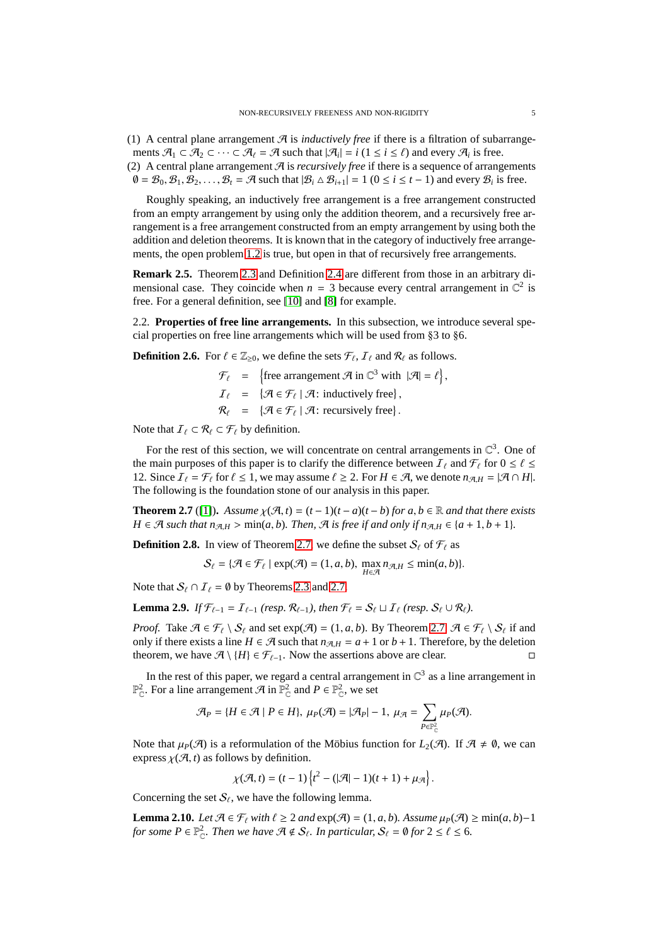(1) A central plane arrangement  $A$  is *inductively free* if there is a filtration of subarrangements  $\mathcal{A}_1 \subset \mathcal{A}_2 \subset \cdots \subset \mathcal{A}_\ell = \mathcal{A}$  such that  $|\mathcal{A}_i| = i$  ( $1 \le i \le \ell$ ) and every  $\mathcal{A}_i$  is free.

(2) A central plane arrangement  $\mathcal{A}$  is *recursively free* if there is a sequence of arrangements  $\emptyset = \mathcal{B}_0, \mathcal{B}_1, \mathcal{B}_2, \dots, \mathcal{B}_t = \mathcal{A}$  such that  $|\mathcal{B}_i \triangle \mathcal{B}_{i+1}| = 1$  ( $0 \le i \le t - 1$ ) and every  $\mathcal{B}_i$  is free.

Roughly speaking, an inductively free arrangement is a free arrangement constructed from an empty arrangement by using only the addition theorem, and a recursively free arrangement is a free arrangement constructed from an empty arrangement by using both the addition and deletion theorems. It is known that in the category of inductively free arrangements, the open problem [1.2](#page-1-1) is true, but open in that of recursively free arrangements.

**Remark 2.5.** Theorem [2.3](#page-3-1) and Definition [2.4](#page-3-3) are different from those in an arbitrary dimensional case. They coincide when  $n = 3$  because every central arrangement in  $\mathbb{C}^2$  is free. For a general definition, see [\[10\]](#page-20-2) and [\[8\]](#page-20-0) for example.

2.2. **Properties of free line arrangements.** In this subsection, we introduce several special properties on free line arrangements which will be used from §3 to §6.

**Definition 2.6.** For  $\ell \in \mathbb{Z}_{\geq 0}$ , we define the sets  $\mathcal{F}_{\ell}$ ,  $\mathcal{I}_{\ell}$  and  $\mathcal{R}_{\ell}$  as follows.

 $\mathcal{F}_{\ell}$  = {free arrangement  $\mathcal{A}$  in  $\mathbb{C}^{3}$  with  $|\mathcal{A}| = \ell$ },

 $I_{\ell} = {\mathcal{A} \in \mathcal{F}_{\ell} | \mathcal{A}: \text{inductively free}}$ ,

 $\mathcal{R}_{\ell} = {\mathcal{A} \in \mathcal{F}_{\ell} | \mathcal{A}:}$  recursively free}.

Note that  $\mathcal{I}_{\ell} \subset \mathcal{R}_{\ell} \subset \mathcal{F}_{\ell}$  by definition.

For the rest of this section, we will concentrate on central arrangements in  $\mathbb{C}^3$ . One of the main purposes of this paper is to clarify the difference between  $I_\ell$  and  $\mathcal{F}_\ell$  for  $0 \leq \ell \leq$ 12. Since  $\mathcal{I}_{\ell} = \mathcal{F}_{\ell}$  for  $\ell \leq 1$ , we may assume  $\ell \geq 2$ . For  $H \in \mathcal{A}$ , we denote  $n_{\mathcal{A},H} = |\mathcal{A} \cap H|$ . The following is the foundation stone of our analysis in this paper.

<span id="page-4-0"></span>**Theorem 2.7** ([\[1\]](#page-20-15)). Assume  $\chi(\mathcal{A}, t) = (t - 1)(t - a)(t - b)$  for  $a, b \in \mathbb{R}$  and that there exists *H* ∈ *A such that*  $n_{A,H}$  > min(*a*, *b*)*. Then, A is free if and only if*  $n_{A,H}$  ∈ {*a* + 1, *b* + 1}*.* 

**Definition 2.8.** In view of Theorem [2.7,](#page-4-0) we define the subset  $S_\ell$  of  $\mathcal{F}_\ell$  as

 $S_{\ell} = \{ \mathcal{A} \in \mathcal{F}_{\ell} \mid \exp(\mathcal{A}) = (1, a, b), \max_{H \in \mathcal{A}} n_{\mathcal{A},H} \le \min(a, b) \}.$ 

Note that  $S_\ell \cap I_\ell = \emptyset$  by Theorems [2.3](#page-3-1) and [2.7.](#page-4-0)

<span id="page-4-2"></span>**Lemma 2.9.** *If*  $\mathcal{F}_{\ell-1} = \mathcal{I}_{\ell-1}$  *(resp.*  $\mathcal{R}_{\ell-1}$ *), then*  $\mathcal{F}_{\ell} = \mathcal{S}_{\ell} \sqcup \mathcal{I}_{\ell}$  *(resp.*  $\mathcal{S}_{\ell} \cup \mathcal{R}_{\ell}$ *).* 

*Proof.* Take  $\mathcal{A} \in \mathcal{F}_{\ell} \setminus \mathcal{S}_{\ell}$  and set  $\exp(\mathcal{A}) = (1, a, b)$ . By Theorem [2.7,](#page-4-0)  $\mathcal{A} \in \mathcal{F}_{\ell} \setminus \mathcal{S}_{\ell}$  if and only if there exists a line *H* ∈  $\mathcal A$  such that  $n_{\mathcal A,H} = a + 1$  or *b* + 1. Therefore, by the deletion theorem, we have  $\mathcal{A} \setminus \{H\} \in \mathcal{F}_{\ell-1}$ . Now the assertions above are clear.

In the rest of this paper, we regard a central arrangement in  $\mathbb{C}^3$  as a line arrangement in  $\mathbb{P}_{\mathbb{C}}^2$ . For a line arrangement  $\mathcal{A}$  in  $\mathbb{P}_{\mathbb{C}}^2$  and  $P \in \mathbb{P}_{\mathbb{C}}^2$ , we set

$$
\mathcal{A}_P = \{ H \in \mathcal{A} \mid P \in H \}, \ \mu_P(\mathcal{A}) = |\mathcal{A}_P| - 1, \ \mu_{\mathcal{A}} = \sum_{P \in \mathbb{P}^2_{\mathbb{C}}} \mu_P(\mathcal{A}).
$$

Note that  $\mu_P(\mathcal{A})$  is a reformulation of the Möbius function for  $L_2(\mathcal{A})$ . If  $\mathcal{A} \neq \emptyset$ , we can express  $\chi(\mathcal{A}, t)$  as follows by definition.

$$
\chi(\mathcal{A},t)=(t-1)\left\{t^2-(|\mathcal{A}|-1)(t+1)+\mu_{\mathcal{A}}\right\}.
$$

Concerning the set  $S_\ell$ , we have the following lemma.

<span id="page-4-1"></span>**Lemma 2.10.** *Let*  $\mathcal{A} \in \mathcal{F}_\ell$  *with*  $\ell \geq 2$  *and*  $exp(\mathcal{A}) = (1, a, b)$ *. Assume*  $\mu_P(\mathcal{A}) \geq min(a, b) - 1$ *for some*  $P \in \mathbb{P}_{\mathbb{C}}^2$ *. Then we have*  $\mathcal{A} \notin \mathcal{S}_{\ell}$ *. In particular,*  $\mathcal{S}_{\ell} = \emptyset$  *for*  $2 \leq \ell \leq 6$ *.*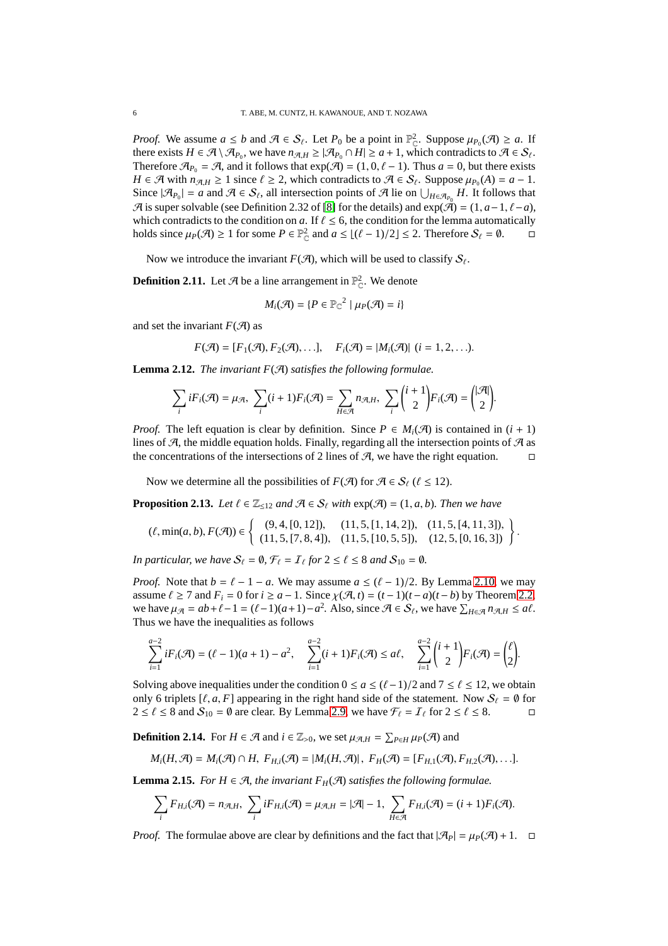*Proof.* We assume  $a \leq b$  and  $\mathcal{A} \in \mathcal{S}_{\ell}$ . Let  $P_0$  be a point in  $\mathbb{P}_{\mathbb{C}}^2$ . Suppose  $\mu_{P_0}(\mathcal{A}) \geq a$ . If there exists  $H \in \mathcal{A} \setminus \mathcal{A}_{P_0}$ , we have  $n_{\mathcal{A},H} \geq |\mathcal{A}_{P_0} \cap H| \geq a+1$ , which contradicts to  $\mathcal{A} \in \mathcal{S}_{\ell}$ . Therefore  $\mathcal{A}_{P_0} = \mathcal{A}$ , and it follows that  $exp(\mathcal{A}) = (1, 0, \ell - 1)$ . Thus  $a = 0$ , but there exists *H* ∈ *A* with  $n_{A,H} \ge 1$  since  $\ell \ge 2$ , which contradicts to  $A \in S_{\ell}$ . Suppose  $\mu_{P_0}(A) = a - 1$ . Since  $|\mathcal{A}_{P_0}| = a$  and  $\mathcal{A} \in \mathcal{S}_{\ell}$ , all intersection points of  $\mathcal{A}$  lie on  $\bigcup_{H \in \mathcal{A}_{P_0}} H$ . It follows that A is super solvable (see Definition 2.32 of [\[8\]](#page-20-0) for the details) and  $exp(\mathcal{A}) = (1, a-1, \ell-a)$ , which contradicts to the condition on *a*. If  $\ell \le 6$ , the condition for the lemma automatically holds since  $\mu_P(\mathcal{A}) > 1$  for some  $P \in \mathbb{P}_2^2$  and  $a < |(\ell - 1)/2| < 2$ . Therefore  $S_\ell = \emptyset$ . holds since  $\mu_P(\mathcal{A}) \ge 1$  for some  $P \in \mathbb{P}_{\mathbb{C}}^2$  and  $a \le \lfloor (\ell - 1)/2 \rfloor \le 2$ . Therefore  $S_\ell = \emptyset$ .

Now we introduce the invariant  $F(\mathcal{A})$ , which will be used to classify  $\mathcal{S}_{\ell}$ .

**Definition 2.11.** Let  $\mathcal{A}$  be a line arrangement in  $\mathbb{P}_{\mathbb{C}}^2$ . We denote

$$
M_i(\mathcal{A}) = \{P \in \mathbb{P}_{\mathbb{C}}^2 \mid \mu_P(\mathcal{A}) = i\}
$$

and set the invariant  $F(\mathcal{A})$  as

$$
F(\mathcal{A})=[F_1(\mathcal{A}), F_2(\mathcal{A}), \ldots], \quad F_i(\mathcal{A})=|M_i(\mathcal{A})| \ (i=1,2,\ldots).
$$

**Lemma 2.12.** *The invariant*  $F(\mathcal{A})$  *satisfies the following formulae.* 

$$
\sum_{i} iF_{i}(\mathcal{A}) = \mu_{\mathcal{A}}, \ \sum_{i} (i+1)F_{i}(\mathcal{A}) = \sum_{H \in \mathcal{A}} n_{\mathcal{A},H}, \ \sum_{i} {i+1 \choose 2} F_{i}(\mathcal{A}) = {|\mathcal{A}| \choose 2}.
$$

*Proof.* The left equation is clear by definition. Since  $P \in M_i(\mathcal{A})$  is contained in  $(i + 1)$ lines of  $A$ , the middle equation holds. Finally, regarding all the intersection points of  $A$  as the concentrations of the intersections of 2 lines of  $A$ , we have the right equation.

Now we determine all the possibilities of  $F(\mathcal{A})$  for  $\mathcal{A} \in \mathcal{S}_{\ell}$  ( $\ell \leq 12$ ).

<span id="page-5-0"></span>**Proposition 2.13.** *Let*  $\ell \in \mathbb{Z}_{\leq 12}$  *and*  $\mathcal{A} \in \mathcal{S}_{\ell}$  *with*  $\exp(\mathcal{A}) = (1, a, b)$ *. Then we have* 

$$
(\ell, \min(a, b), F(\mathcal{A})) \in \left\{ \begin{array}{ll} (9, 4, [0, 12]), & (11, 5, [1, 14, 2]), & (11, 5, [4, 11, 3]), \\ (11, 5, [7, 8, 4]), & (11, 5, [10, 5, 5]), & (12, 5, [0, 16, 3]) \end{array} \right\}.
$$

*In particular, we have*  $S_\ell = \emptyset$ ,  $\mathcal{F}_\ell = I_\ell$  *for*  $2 \leq \ell \leq 8$  *and*  $S_{10} = \emptyset$ *.* 

*Proof.* Note that  $b = \ell - 1 - a$ . We may assume  $a \leq (\ell - 1)/2$ . By Lemma [2.10,](#page-4-1) we may assume  $\ell \ge 7$  and  $F_i = 0$  for  $i \ge a - 1$ . Since  $\chi(\mathcal{A}, t) = (t - 1)(t - a)(t - b)$  by Theorem [2.2,](#page-3-2) we have  $\mu_{\mathcal{A}} = ab + \ell - 1 = (\ell - 1)(a + 1) - a^2$ . Also, since  $\mathcal{A} \in \mathcal{S}_{\ell}$ , we have  $\sum_{H \in \mathcal{A}} n_{\mathcal{A},H} \leq a\ell$ . Thus we have the inequalities as follows

$$
\sum_{i=1}^{a-2} iF_i(\mathcal{A}) = (\ell-1)(a+1) - a^2, \quad \sum_{i=1}^{a-2} (i+1)F_i(\mathcal{A}) \leq a\ell, \quad \sum_{i=1}^{a-2} {i+1 \choose 2}F_i(\mathcal{A}) = { \ell \choose 2}.
$$

Solving above inequalities under the condition  $0 \le a \le (\ell-1)/2$  and  $7 \le \ell \le 12$ , we obtain only 6 triplets  $[\ell, a, F]$  appearing in the right hand side of the statement. Now  $S_{\ell} = \emptyset$  for  $2 \le \ell \le 8$  and  $S_{10} = \emptyset$  are clear. By Lemma [2.9,](#page-4-2) we have  $\mathcal{F}_{\ell} = I_{\ell}$  for  $2 \le \ell \le 8$ .

**Definition 2.14.** For  $H \in \mathcal{A}$  and  $i \in \mathbb{Z}_{>0}$ , we set  $\mu_{\mathcal{A},H} = \sum_{P \in H} \mu_P(\mathcal{A})$  and

$$
M_i(H,\mathcal{A})=M_i(\mathcal{A})\cap H,\ F_{H,i}(\mathcal{A})=|M_i(H,\mathcal{A})|,\ F_H(\mathcal{A})=[F_{H,1}(\mathcal{A}),F_{H,2}(\mathcal{A}),\ldots].
$$

**Lemma 2.15.** *For H*  $\in$  *A*, *the invariant*  $F_H(\mathcal{A})$  *satisfies the following formulae.* 

$$
\sum_i F_{H,i}(\mathcal{A}) = n_{\mathcal{A},H}, \ \sum_i i F_{H,i}(\mathcal{A}) = \mu_{\mathcal{A},H} = |\mathcal{A}| - 1, \ \sum_{H \in \mathcal{A}} F_{H,i}(\mathcal{A}) = (i+1)F_i(\mathcal{A}).
$$

*Proof.* The formulae above are clear by definitions and the fact that  $|\mathcal{A}_P| = \mu_P(\mathcal{A}) + 1$ .  $\Box$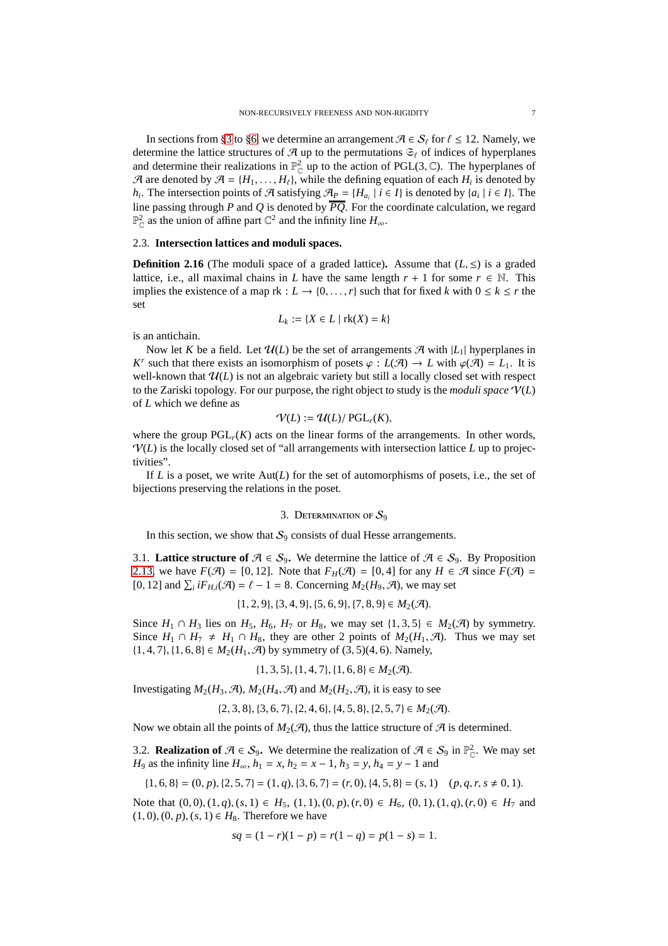In sections from §[3](#page-6-1) to §[6,](#page-13-1) we determine an arrangement  $\mathcal{A} \in \mathcal{S}_{\ell}$  for  $\ell \leq 12$ . Namely, we determine the lattice structures of  $\mathcal A$  up to the permutations  $\mathfrak{S}_{\ell}$  of indices of hyperplanes and determine their realizations in  $\mathbb{P}^2_{\mathbb{C}}$  up to the action of PGL(3,  $\mathbb{C}$ ). The hyperplanes of A are denoted by  $A = \{H_1, \ldots, H_\ell\}$ , while the defining equation of each  $H_i$  is denoted by *h*<sub>*i*</sub>. The intersection points of A satisfying  $\mathcal{A}_P = \{H_{a_i} \mid i \in I\}$  is denoted by  $\{a_i \mid i \in I\}$ . The line passing through *P* and *Q* is denoted by  $\overline{PQ}$ . For the coordinate calculation, we regard  $\mathbb{P}_{\mathbb{C}}^2$  as the union of affine part  $\mathbb{C}^2$  and the infinity line  $H_{\infty}$ .

## 2.3. **Intersection lattices and moduli spaces.**

<span id="page-6-0"></span>**Definition 2.16** (The moduli space of a graded lattice). Assume that  $(L, \leq)$  is a graded lattice, i.e., all maximal chains in *L* have the same length  $r + 1$  for some  $r \in \mathbb{N}$ . This implies the existence of a map  $rk : L \to \{0, \ldots, r\}$  such that for fixed *k* with  $0 \le k \le r$  the set

$$
L_k := \{ X \in L \mid \text{rk}(X) = k \}
$$

is an antichain.

Now let *K* be a field. Let  $\mathcal{U}(L)$  be the set of arrangements  $\mathcal{A}$  with  $|L_1|$  hyperplanes in *K*<sup>*r*</sup> such that there exists an isomorphism of posets  $\varphi : L(\mathcal{A}) \to L$  with  $\varphi(\mathcal{A}) = L_1$ . It is well-known that  $\mathcal{U}(L)$  is not an algebraic variety but still a locally closed set with respect to the Zariski topology. For our purpose, the right object to study is the *moduli space* V(*L*) of *L* which we define as

$$
\mathcal{V}(L) := \mathcal{U}(L) / \operatorname{PGL}_r(K),
$$

where the group  $PGL_r(K)$  acts on the linear forms of the arrangements. In other words,  $V(L)$  is the locally closed set of "all arrangements with intersection lattice  $L$  up to projectivities".

<span id="page-6-1"></span>If *L* is a poset, we write Aut(*L*) for the set of automorphisms of posets, i.e., the set of bijections preserving the relations in the poset.

#### 3. DETERMINATION OF  $S_9$

In this section, we show that  $S_9$  consists of dual Hesse arrangements.

<span id="page-6-3"></span>3.1. **Lattice structure of**  $\mathcal{A} \in \mathcal{S}_9$ . We determine the lattice of  $\mathcal{A} \in \mathcal{S}_9$ . By Proposition [2.13,](#page-5-0) we have  $F(\mathcal{A}) = [0, 12]$ . Note that  $F_H(\mathcal{A}) = [0, 4]$  for any  $H \in \mathcal{A}$  since  $F(\mathcal{A}) =$ [0, 12] and  $\sum_i iF_{H,i}(\mathcal{A}) = \ell - 1 = 8$ . Concerning  $M_2(H_9, \mathcal{A})$ , we may set

$$
\{1,2,9\},\{3,4,9\},\{5,6,9\},\{7,8,9\} \in M_2(\mathcal{A}).
$$

Since  $H_1$  ∩  $H_3$  lies on  $H_5$ ,  $H_6$ ,  $H_7$  or  $H_8$ , we may set {1, 3, 5} ∈  $M_2(\mathcal{A})$  by symmetry. Since  $H_1 \cap H_7 \neq H_1 \cap H_8$ , they are other 2 points of  $M_2(H_1, \mathcal{A})$ . Thus we may set  $\{1, 4, 7\}, \{1, 6, 8\} \in M_2(H_1, \mathcal{A})$  by symmetry of  $(3, 5)(4, 6)$ . Namely,

$$
\{1,3,5\}, \{1,4,7\}, \{1,6,8\} \in M_2(\mathcal{A}).
$$

Investigating  $M_2(H_3, \mathcal{A})$ ,  $M_2(H_4, \mathcal{A})$  and  $M_2(H_2, \mathcal{A})$ , it is easy to see

$$
\{2,3,8\},\{3,6,7\},\{2,4,6\},\{4,5,8\},\{2,5,7\}\in M_2(\mathcal{A}).
$$

Now we obtain all the points of  $M_2(\mathcal{A})$ , thus the lattice structure of  $\mathcal A$  is determined.

<span id="page-6-2"></span>3.2. **Realization of**  $\mathcal{A} \in \mathcal{S}_9$ . We determine the realization of  $\mathcal{A} \in \mathcal{S}_9$  in  $\mathbb{P}_{\mathbb{C}}^2$ . We may set *H*<sub>9</sub> as the infinity line  $H_{\infty}$ ,  $h_1 = x$ ,  $h_2 = x - 1$ ,  $h_3 = y$ ,  $h_4 = y - 1$  and

$$
\{1,6,8\}=(0,p),\{2,5,7\}=(1,q),\{3,6,7\}=(r,0),\{4,5,8\}=(s,1)\quad (p,q,r,s\neq 0,1).
$$

Note that  $(0, 0), (1, q), (s, 1) \in H_5$ ,  $(1, 1), (0, p), (r, 0) \in H_6$ ,  $(0, 1), (1, q), (r, 0) \in H_7$  and  $(1, 0), (0, p), (s, 1) ∈ H_8$ . Therefore we have

$$
sq = (1 - r)(1 - p) = r(1 - q) = p(1 - s) = 1.
$$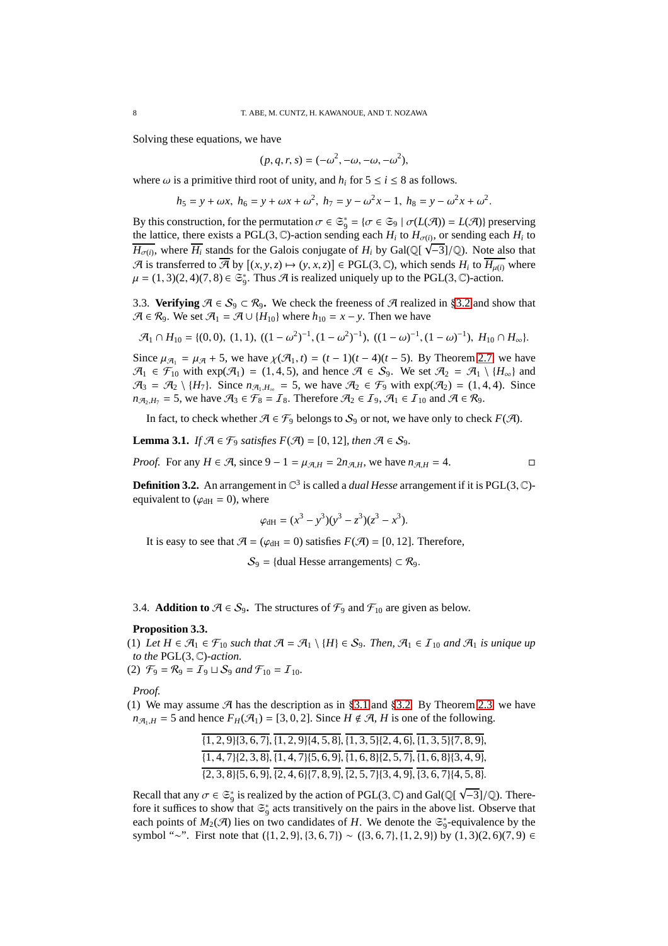Solving these equations, we have

$$
(p,q,r,s)=(-\omega^2,-\omega,-\omega,-\omega^2),
$$

where  $\omega$  is a primitive third root of unity, and  $h_i$  for  $5 \le i \le 8$  as follows.

$$
h_5 = y + \omega x
$$
,  $h_6 = y + \omega x + \omega^2$ ,  $h_7 = y - \omega^2 x - 1$ ,  $h_8 = y - \omega^2 x + \omega^2$ .

By this construction, for the permutation  $\sigma \in \mathfrak{S}_9 = {\sigma \in \mathfrak{S}_9 \mid \sigma(L(\mathcal{A})) = L(\mathcal{A})}$  preserving the lattice, there exists a PGL(3,  $\mathbb{C}$ )-action sending each  $H_i$  to  $H_{\sigma(i)}$ , or sending each  $H_i$  to  $\overline{H_{\sigma(i)}}$ , where  $\overline{H_i}$  stands for the Galois conjugate of  $H_i$  by Gal(Q[ $\sqrt{-3}$ ]/Q). Note also that  $\mathcal{A}$  is transferred to  $\mathcal{A}$  by  $[(x, y, z) \mapsto (y, x, z)] \in \text{PGL}(3, \mathbb{C})$ , which sends  $H_i$  to  $H_{\mu(i)}$  where  $\mu = (1, 3)(2, 4)(7, 8) \in \mathfrak{S}_9^*$ . Thus A is realized uniquely up to the PGL(3, C)-action.

<span id="page-7-1"></span>3.3. **Verifying**  $\mathcal{A} \in \mathcal{S}_9$  ⊂  $\mathcal{R}_9$ . We check the freeness of  $\mathcal{A}$  realized in §[3.2](#page-6-2) and show that  $\mathcal{A} \in \mathcal{R}_9$ . We set  $\mathcal{A}_1 = \mathcal{A} \cup \{H_{10}\}$  where  $h_{10} = x - y$ . Then we have

$$
\mathcal{A}_1 \cap H_{10} = \{ (0,0), (1,1), ((1-\omega^2)^{-1}, (1-\omega^2)^{-1}), ((1-\omega)^{-1}, (1-\omega)^{-1}), H_{10} \cap H_{\infty} \}.
$$

Since  $\mu_{\mathcal{A}_1} = \mu_{\mathcal{A}} + 5$ , we have  $\chi(\mathcal{A}_1, t) = (t - 1)(t - 4)(t - 5)$ . By Theorem [2.7,](#page-4-0) we have  $\mathcal{A}_1 \in \mathcal{F}_{10}$  with  $exp(\mathcal{A}_1) = (1, 4, 5)$ , and hence  $\mathcal{A} \in \mathcal{S}_9$ . We set  $\mathcal{A}_2 = \mathcal{A}_1 \setminus \{H_\infty\}$  and  $\mathcal{A}_3 = \mathcal{A}_2 \setminus \{H_7\}$ . Since  $n_{\mathcal{A}_1, H_\infty} = 5$ , we have  $\mathcal{A}_2 \in \mathcal{F}_9$  with  $\exp(\mathcal{A}_2) = (1, 4, 4)$ . Since  $n_{\mathcal{A}_2,H_7} = 5$ , we have  $\mathcal{A}_3 \in \mathcal{F}_8 = I_8$ . Therefore  $\mathcal{A}_2 \in I_9$ ,  $\mathcal{A}_1 \in I_{10}$  and  $\mathcal{A} \in \mathcal{R}_9$ .

In fact, to check whether  $\mathcal{A} \in \mathcal{F}_9$  belongs to  $\mathcal{S}_9$  or not, we have only to check  $F(\mathcal{A})$ .

**Lemma 3.1.** *If*  $\mathcal{A} \in \mathcal{F}_9$  *satisfies*  $F(\mathcal{A}) = [0, 12]$ *, then*  $\mathcal{A} \in \mathcal{S}_9$ *.* 

*Proof.* For any  $H \in \mathcal{A}$ , since  $9 - 1 = \mu_{\mathcal{A},H} = 2n_{\mathcal{A},H}$ , we have  $n_{\mathcal{A},H} = 4$ .

<span id="page-7-0"></span>**Definition 3.2.** An arrangement in  $\mathbb{C}^3$  is called a *dual Hesse* arrangement if it is PGL(3,  $\mathbb{C}$ )equivalent to ( $\varphi_{\text{dH}} = 0$ ), where

$$
\varphi_{\text{dH}} = (x^3 - y^3)(y^3 - z^3)(z^3 - x^3).
$$

It is easy to see that  $\mathcal{A} = (\varphi_{\text{dH}} = 0)$  satisfies  $F(\mathcal{A}) = [0, 12]$ . Therefore,

 $S_9$  = {dual Hesse arrangements}  $\subset \mathcal{R}_9$ .

3.4. **Addition to**  $\mathcal{A} \in \mathcal{S}_9$ . The structures of  $\mathcal{F}_9$  and  $\mathcal{F}_{10}$  are given as below.

#### <span id="page-7-2"></span>**Proposition 3.3.**

(1) Let  $H \in \mathcal{A}_1 \in \mathcal{F}_{10}$  such that  $\mathcal{A} = \mathcal{A}_1 \setminus \{H\} \in \mathcal{S}_9$ . Then,  $\mathcal{A}_1 \in \mathcal{I}_{10}$  and  $\mathcal{A}_1$  is unique up *to the* PGL(3, C)*-action.*

(2)  $\mathcal{F}_9 = \mathcal{R}_9 = I_9 \sqcup \mathcal{S}_9$  and  $\mathcal{F}_{10} = I_{10}$ .

*Proof.*

(1) We may assume  $\mathcal{A}$  has the description as in §[3.1](#page-6-3) and §[3.2.](#page-6-2) By Theorem [2.3,](#page-3-1) we have  $n_{\mathcal{A}_1,H}$  = 5 and hence  $F_H(\mathcal{A}_1)$  = [3, 0, 2]. Since  $H \notin \mathcal{A}$ , *H* is one of the following.

|  | $\{1, 2, 9\}\{3, 6, 7\}, \{1, 2, 9\}\{4, 5, 8\}, \{1, 3, 5\}\{2, 4, 6\}, \{1, 3, 5\}\{7, 8, 9\},\$        |
|--|-----------------------------------------------------------------------------------------------------------|
|  | $\{1, 4, 7\}\{2, 3, 8\}, \{1, 4, 7\}\{5, 6, 9\}, \{1, 6, 8\}\{2, 5, 7\}, \{1, 6, 8\}\{3, 4, 9\},\$        |
|  | $\{2, 3, 8\}, \{5, 6, 9\}, \{2, 4, 6\}, \{7, 8, 9\}, \{2, 5, 7\}, \{3, 4, 9\}, \{3, 6, 7\}, \{4, 5, 8\}.$ |

Recall that any  $\sigma \in \mathfrak{S}_9^*$  is realized by the action of PGL(3,  $\mathbb{C}$ ) and Gal( $\mathbb{Q}[\sqrt{-3}]/\mathbb{Q}$ ). Therefore it suffices to show that  $\mathfrak{S}_9^*$  acts transitively on the pairs in the above list. Observe that each points of  $M_2(\mathcal{A})$  lies on two candidates of *H*. We denote the  $\mathfrak{S}_9^*$ -equivalence by the symbol "∼". First note that  $({1, 2, 9}, {3, 6, 7}) \sim ({3, 6, 7}, {1, 2, 9})$  by  $(1, 3)(2, 6)(7, 9) \in$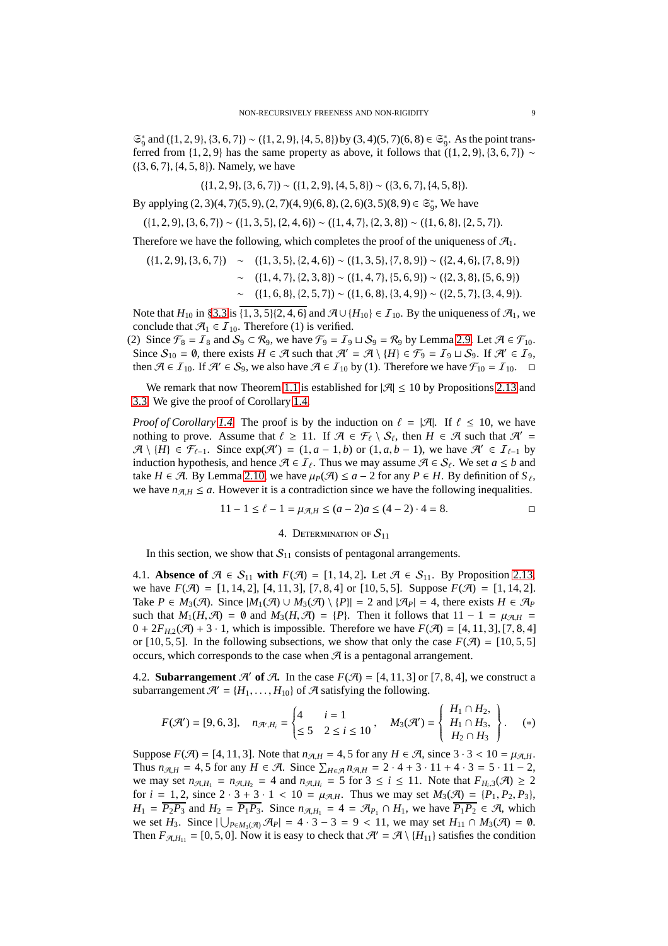$\mathfrak{S}_9^*$  and  $({1, 2, 9}, {3, 6, 7}) \sim ({1, 2, 9}, {4, 5, 8})$  by  $(3, 4)(5, 7)(6, 8) \in \mathfrak{S}_9^*$ . As the point transferred from {1, 2, 9} has the same property as above, it follows that  $({1, 2, 9}, {3, 6, 7}) \sim$ ({3, 6, 7}, {4, 5, 8}). Namely, we have

$$
(\{1,2,9\},\{3,6,7\}) \sim (\{1,2,9\},\{4,5,8\}) \sim (\{3,6,7\},\{4,5,8\}).
$$

By applying  $(2, 3)(4, 7)(5, 9)$ ,  $(2, 7)(4, 9)(6, 8)$ ,  $(2, 6)(3, 5)(8, 9) \in \mathfrak{S}_{9}^{*}$ , We have

$$
(\{1,2,9\},\{3,6,7\}) \sim (\{1,3,5\},\{2,4,6\}) \sim (\{1,4,7\},\{2,3,8\}) \sim (\{1,6,8\},\{2,5,7\}).
$$

Therefore we have the following, which completes the proof of the uniqueness of  $\mathcal{A}_1$ .

$$
((1, 2, 9), \{3, 6, 7\}) \sim ((1, 3, 5), \{2, 4, 6\}) \sim ((1, 3, 5), \{7, 8, 9\}) \sim ((2, 4, 6), \{7, 8, 9\})
$$

$$
\sim ((1, 4, 7), \{2, 3, 8\}) \sim ((1, 4, 7), \{5, 6, 9\}) \sim ((2, 3, 8), \{5, 6, 9\})
$$

$$
\sim ((1, 6, 8), \{2, 5, 7\}) \sim ((1, 6, 8), \{3, 4, 9\}) \sim ((2, 5, 7), \{3, 4, 9\}).
$$

Note that *H*<sub>10</sub> in §[3.3](#page-7-1) is  $\overline{\{1,3,5\}\{2,4,6\}}$  and  $\mathcal{A} \cup \{H_{10}\} \in I_{10}$ . By the uniqueness of  $\mathcal{A}_1$ , we conclude that  $\mathcal{A}_1 \in I_{10}$ . Therefore (1) is verified.

(2) Since  $\mathcal{F}_8 = I_8$  and  $\mathcal{S}_9 \subset \mathcal{R}_9$ , we have  $\mathcal{F}_9 = I_9 \sqcup \mathcal{S}_9 = \mathcal{R}_9$  by Lemma [2.9.](#page-4-2) Let  $\mathcal{A} \in \mathcal{F}_{10}$ . Since  $S_{10} = \emptyset$ , there exists  $H \in \mathcal{A}$  such that  $\mathcal{A}' = \mathcal{A} \setminus \{H\} \in \mathcal{F}_9 = I_9 \sqcup S_9$ . If  $\mathcal{A}' \in I_9$ , then  $\mathcal{A} \in \mathcal{I}_{10}$ . If  $\mathcal{A}' \in \mathcal{S}_9$ , we also have  $\mathcal{A} \in \mathcal{I}_{10}$  by (1). Therefore we have  $\mathcal{F}_{10} = \mathcal{I}_{10}$ .  $\Box$ 

We remark that now Theorem [1.1](#page-1-0) is established for  $|\mathcal{A}| \leq 10$  by Propositions [2.13](#page-5-0) and [3.3.](#page-7-2) We give the proof of Corollary [1.4.](#page-1-2)

*Proof of Corollary [1.4.](#page-1-2)* The proof is by the induction on  $\ell = |\mathcal{A}|$ . If  $\ell \leq 10$ , we have nothing to prove. Assume that  $\ell \geq 11$ . If  $\mathcal{A} \in \mathcal{F}_{\ell} \setminus \mathcal{S}_{\ell}$ , then  $H \in \mathcal{A}$  such that  $\mathcal{A}' =$  $\mathcal{A} \setminus \{H\} \in \mathcal{F}_{\ell-1}$ . Since  $\exp(\mathcal{A}') = (1, a-1, b)$  or  $(1, a, b-1)$ , we have  $\mathcal{A}' \in \mathcal{I}_{\ell-1}$  by induction hypothesis, and hence  $\mathcal{A} \in \mathcal{I}_{\ell}$ . Thus we may assume  $\mathcal{A} \in \mathcal{S}_{\ell}$ . We set  $a \leq b$  and take *H* ∈  $\mathcal{A}$ . By Lemma [2.10,](#page-4-1) we have  $\mu_P(\mathcal{A})$  ≤ *a* − 2 for any *P* ∈ *H*. By definition of *S t*, we have  $n_{A,H} \le a$ . However it is a contradiction since we have the following inequalities.

$$
11 - 1 \le \ell - 1 = \mu_{\mathcal{A},H} \le (a - 2)a \le (4 - 2) \cdot 4 = 8.
$$

### 4. DETERMINATION OF  $S_{11}$

<span id="page-8-0"></span>In this section, we show that  $S_{11}$  consists of pentagonal arrangements.

4.1. **Absence of**  $\mathcal{A} \in \mathcal{S}_{11}$  **with**  $F(\mathcal{A}) = [1, 14, 2]$ . Let  $\mathcal{A} \in \mathcal{S}_{11}$ . By Proposition [2.13,](#page-5-0) we have  $F(\mathcal{A}) = [1, 14, 2], [4, 11, 3], [7, 8, 4]$  or  $[10, 5, 5].$  Suppose  $F(\mathcal{A}) = [1, 14, 2].$ Take  $P \in M_3(\mathcal{A})$ . Since  $|M_1(\mathcal{A}) \cup M_3(\mathcal{A}) \setminus \{P\}| = 2$  and  $|\mathcal{A}_P| = 4$ , there exists  $H \in \mathcal{A}_P$ such that  $M_1(H, \mathcal{A}) = \emptyset$  and  $M_3(H, \mathcal{A}) = \{P\}$ . Then it follows that  $11 - 1 = \mu_{\mathcal{A},H}$  $0 + 2F_{H,2}(\mathcal{A}) + 3 \cdot 1$ , which is impossible. Therefore we have  $F(\mathcal{A}) = [4, 11, 3]$ , [7, 8, 4] or [10, 5, 5]. In the following subsections, we show that only the case  $F(\mathcal{A}) = [10, 5, 5]$ occurs, which corresponds to the case when  $\mathcal{A}$  is a pentagonal arrangement.

4.2. **Subarrangement**  $\mathcal{A}'$  of  $\mathcal{A}$ . In the case  $F(\mathcal{A}) = \{4, 11, 3\}$  or  $[7, 8, 4]$ , we construct a subarrangement  $\mathcal{A}' = \{H_1, \ldots, H_{10}\}$  of  $\mathcal A$  satisfying the following.

$$
F(\mathcal{H}') = [9, 6, 3], \quad n_{\mathcal{H}', H_i} = \begin{cases} 4 & i = 1 \\ \leq 5 & 2 \leq i \leq 10 \end{cases}, \quad M_3(\mathcal{H}') = \begin{cases} H_1 \cap H_2, \\ H_1 \cap H_3, \\ H_2 \cap H_3 \end{cases}.
$$
 (\*)

Suppose  $F(\mathcal{A}) = [4, 11, 3]$ . Note that  $n_{\mathcal{A},H} = 4, 5$  for any  $H \in \mathcal{A}$ , since  $3 \cdot 3 < 10 = \mu_{\mathcal{A},H}$ . Thus  $n_{\mathcal{A},H} = 4, 5$  for any  $H \in \mathcal{A}$ . Since  $\sum_{H \in \mathcal{A}} n_{\mathcal{A},H} = 2 \cdot 4 + 3 \cdot 11 + 4 \cdot 3 = 5 \cdot 11 - 2$ , we may set  $n_{\mathcal{A},H_1} = n_{\mathcal{A},H_2} = 4$  and  $n_{\mathcal{A},H_i} = 5$  for  $3 \le i \le 11$ . Note that  $F_{H_i,3}(\mathcal{A}) \ge 2$ for  $i = 1, 2$ , since  $2 \cdot 3 + 3 \cdot 1 < 10 = \mu_{\mathcal{A},H}$ . Thus we may set  $M_3(\mathcal{A}) = \{P_1, P_2, P_3\}$ ,  $H_1 = \overline{P_2 P_3}$  and  $H_2 = \overline{P_1 P_3}$ . Since  $n_{\mathcal{A},H_1} = 4 = \mathcal{A}_{P_1} \cap H_1$ , we have  $\overline{P_1 P_2} \in \mathcal{A}$ , which *P*∈*M*<sub>3</sub>(*A*)  $\mathcal{A}_P$ | = 4 · 3 − 3 = 9 < 11, we may set  $H_{11} \cap M_3(\mathcal{A}) = \emptyset$ . Then  $F_{\mathcal{A},H_{11}} = [0, 5, 0]$ . Now it is easy to check that  $\mathcal{A}' = \mathcal{A} \setminus \{H_{11}\}$  satisfies the condition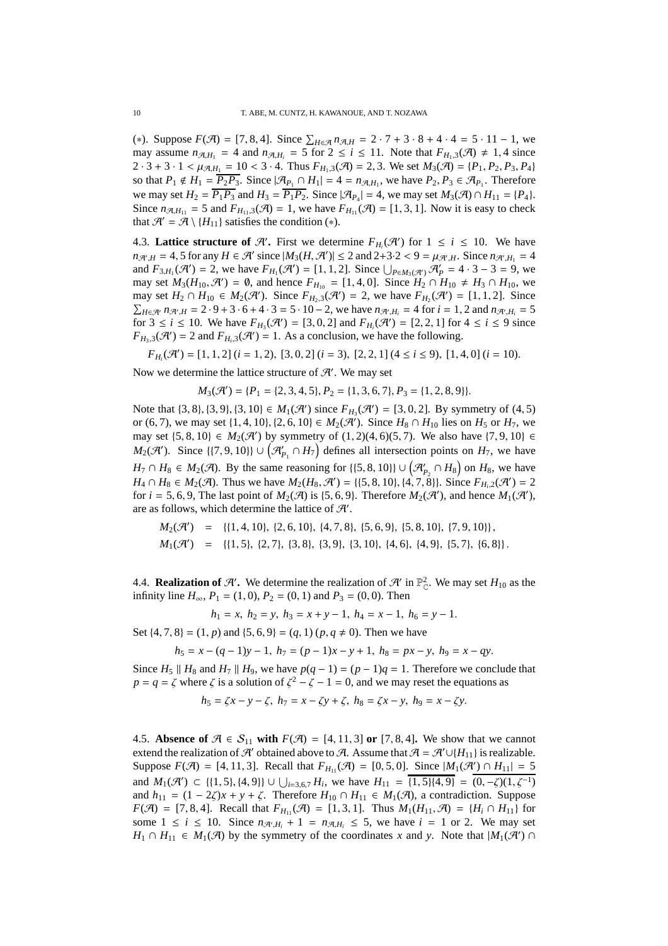(\*). Suppose  $F(\mathcal{A}) = [7, 8, 4]$ . Since  $\sum_{H \in \mathcal{A}} n_{\mathcal{A},H} = 2 \cdot 7 + 3 \cdot 8 + 4 \cdot 4 = 5 \cdot 11 - 1$ , we may assume  $n_{\mathcal{A},H_1} = 4$  and  $n_{\mathcal{A},H_i} = 5$  for  $2 \le i \le 11$ . Note that  $F_{H_1,3}(\mathcal{A}) \ne 1, 4$  since  $2 \cdot 3 + 3 \cdot 1 < \mu_{\mathcal{A},H_1} = 10 < 3 \cdot 4$ . Thus  $F_{H_1,3}(\mathcal{A}) = 2, 3$ . We set  $M_3(\mathcal{A}) = \{P_1, P_2, P_3, P_4\}$ so that  $P_1 \notin H_1 = \overline{P_2 P_3}$ . Since  $|\mathcal{A}_{P_1} \cap H_1| = 4 = n_{\mathcal{A},H_1}$ , we have  $P_2, P_3 \in \mathcal{A}_{P_1}$ . Therefore we may set  $H_2 = \overline{P_1P_3}$  and  $H_3 = \overline{P_1P_2}$ . Since  $|\mathcal{A}_{P_4}| = 4$ , we may set  $M_3(\mathcal{A}) \cap H_{11} = \{P_4\}$ . Since  $n_{\mathcal{A},H_{11}} = 5$  and  $F_{H_{11},3}(\mathcal{A}) = 1$ , we have  $F_{H_{11}}(\mathcal{A}) = [1,3,1]$ . Now it is easy to check that  $\mathcal{H}' = \mathcal{A} \setminus \{H_{11}\}\$  satisfies the condition (\*).

4.3. **Lattice structure of**  $\mathcal{A}'$ **. First** we determine  $F_{H_i}(\mathcal{A}')$  for  $1 \leq i \leq 10$ . We have  $n_{\mathcal{H}',H} = 4, 5$  for any  $H \in \mathcal{H}'$  since  $|M_3(H,\mathcal{H}')| \le 2$  and  $2+3.2 < 9 = \mu_{\mathcal{H}',H}$ . Since  $n_{\mathcal{H}',H_1} = 4$ and  $F_{3,H_1}(\mathcal{H}') = 2$ , we have  $F_{H_1}(\mathcal{H}') = [1, 1, 2]$ . Since  $\bigcup_{P \in M_3(\mathcal{H}')} \mathcal{H}'_P = 4 \cdot 3 - 3 = 9$ , we may set  $M_3(H_{10}, \mathcal{H}') = \emptyset$ , and hence  $F_{H_{10}} = [1, 4, 0]$ . Since  $H_2 \cap H_{10} \neq H_3 \cap H_{10}$ , we may set *H*<sub>2</sub> ∩ *H*<sub>10</sub> ∈ *M*<sub>2</sub>( $\mathcal{A}'$ ). Since *F*<sub>*H*<sub>2</sub>,3</sub>( $\mathcal{A}'$ ) = 2, we have *F*<sub>*H*<sub>2</sub></sub>( $\mathcal{A}'$ ) = [1, 1, 2]. Since  $\sum_{H \in \mathcal{A}'} n_{\mathcal{A}',H} = 2 \cdot 9 + 3 \cdot 6 + 4 \cdot 3 = 5 \cdot 10 - 2$ , we have  $n_{\mathcal{A}',H_i} = 4$  for  $i = 1, 2$  and  $n_{\mathcal{A}',H_i} = 5$ for  $3 \le i \le 10$ . We have  $F_{H_3}(\mathcal{A}') = [3, 0, 2]$  and  $F_{H_i}(\mathcal{A}') = [2, 2, 1]$  for  $4 \le i \le 9$  since  $F_{H_3,3}(\mathcal{A}') = 2$  and  $F_{H_i,3}(\mathcal{A}') = 1$ . As a conclusion, we have the following.

 $F_{H_i}(\mathcal{H}') = [1, 1, 2]$  (*i* = 1, 2), [3, 0, 2] (*i* = 3), [2, 2, 1] (4 ≤ *i* ≤ 9), [1, 4, 0] (*i* = 10).

Now we determine the lattice structure of  $\mathcal{H}'$ . We may set

 $M_3(\mathcal{A}') = \{P_1 = \{2, 3, 4, 5\}, P_2 = \{1, 3, 6, 7\}, P_3 = \{1, 2, 8, 9\}\}.$ 

Note that  $\{3, 8\}, \{3, 9\}, \{3, 10\} \in M_1(\mathcal{H}')$  since  $F_{H_3}(\mathcal{H}') = [3, 0, 2]$ . By symmetry of  $(4, 5)$ or (6, 7), we may set {1, 4, 10}, {2, 6, 10} ∈  $M_2(\mathcal{H}')$ . Since  $H_8 \cap H_{10}$  lies on  $H_5$  or  $H_7$ , we may set  $\{5, 8, 10\}$  ∈  $M_2(\mathcal{A}')$  by symmetry of  $(1, 2)(4, 6)(5, 7)$ . We also have  $\{7, 9, 10\}$  ∈ *M*<sub>2</sub>( $\mathcal{A}'$ ). Since {{7, 9, 10}} ∪  $(\mathcal{A}'_{P_1} \cap H_7)$  defines all intersection points on  $H_7$ , we have *H*<sub>7</sub> ∩ *H*<sub>8</sub> ∈ *M*<sub>2</sub>( $\mathcal{A}$ ). By the same reasoning for {{5, 8, 10}} ∪  $(\mathcal{A}'_{P_2} \cap H_8)$  on *H*<sub>8</sub>, we have *H*<sub>4</sub> ∩ *H*<sub>8</sub> ∈ *M*<sub>2</sub>( $\mathcal{A}$ ). Thus we have  $M_2(H_8, \mathcal{A}') = \{(5, 8, 10), (4, 7, 8)\}$ . Since  $F_{H_1,2}(\mathcal{A}') = 2$ for  $i = 5, 6, 9$ , The last point of  $M_2(\mathcal{A})$  is  $\{5, 6, 9\}$ . Therefore  $M_2(\mathcal{A}')$ , and hence  $M_1(\mathcal{A}')$ , are as follows, which determine the lattice of  $\mathcal{A}'$ .

 $M_2(\mathcal{A}') = \{ \{1, 4, 10\}, \{2, 6, 10\}, \{4, 7, 8\}, \{5, 6, 9\}, \{5, 8, 10\}, \{7, 9, 10\} \},$  $M_1(\mathcal{A}') = \{ \{1, 5\}, \{2, 7\}, \{3, 8\}, \{3, 9\}, \{3, 10\}, \{4, 6\}, \{4, 9\}, \{5, 7\}, \{6, 8\} \}.$ 

4.4. **Realization of**  $\mathcal{A}'$ **.** We determine the realization of  $\mathcal{A}'$  in  $\mathbb{P}_{\mathbb{C}}^2$ . We may set  $H_{10}$  as the infinity line  $H_{\infty}$ ,  $P_1 = (1, 0)$ ,  $P_2 = (0, 1)$  and  $P_3 = (0, 0)$ . Then

 $h_1 = x$ ,  $h_2 = y$ ,  $h_3 = x + y - 1$ ,  $h_4 = x - 1$ ,  $h_6 = y - 1$ .

Set  $\{4, 7, 8\} = (1, p)$  and  $\{5, 6, 9\} = (q, 1)$   $(p, q \neq 0)$ . Then we have

$$
h_5 = x - (q - 1)y - 1, \ h_7 = (p - 1)x - y + 1, \ h_8 = px - y, \ h_9 = x - qy.
$$

Since  $H_5 \parallel H_8$  and  $H_7 \parallel H_9$ , we have  $p(q-1) = (p-1)q = 1$ . Therefore we conclude that  $p = q = \zeta$  where  $\zeta$  is a solution of  $\zeta^2 - \zeta - 1 = 0$ , and we may reset the equations as

 $h_5 = \zeta x - y - \zeta$ ,  $h_7 = x - \zeta y + \zeta$ ,  $h_8 = \zeta x - y$ ,  $h_9 = x - \zeta y$ .

4.5. **Absence of**  $\mathcal{A} \in \mathcal{S}_{11}$  with  $F(\mathcal{A}) = [4, 11, 3]$  or  $[7, 8, 4]$ . We show that we cannot extend the realization of  $\mathcal{H}'$  obtained above to  $\mathcal{A}$ . Assume that  $\mathcal{A} = \mathcal{H}' \cup \{H_{11}\}$  is realizable. Suppose  $F(\mathcal{A}) = [4, 11, 3]$ . Recall that  $F_{H_{11}}(\mathcal{A}) = [0, 5, 0]$ . Since  $|M_1(\mathcal{A}') \cap H_{11}| = 5$ and  $M_1(\mathcal{A}') \subset \{(1, 5), (4, 9)\} \cup \bigcup_{i=3,6,7} H_i$ , we have  $H_{11} = \{1, 5\}(4, 9) = \overline{(0, -\zeta)(1, \zeta^{-1})}$ and  $h_{11} = (1 - 2\zeta)x + y + \zeta$ . Therefore  $H_{10} \cap H_{11} \in M_1(\mathcal{A})$ , a contradiction. Suppose *F*( $\mathcal{A}$ ) = [7, 8, 4]. Recall that *F*<sub>*H*<sub>11</sub></sub> ( $\mathcal{A}$ ) = [1, 3, 1]. Thus *M*<sub>1</sub>(*H*<sub>11</sub>,  $\mathcal{A}$ ) = {*H<sub>i</sub>* ∩ *H*<sub>11</sub>} for some  $1 \le i \le 10$ . Since  $n_{\mathcal{H},H_i} + 1 = n_{\mathcal{H},H_i} \le 5$ , we have  $i = 1$  or 2. We may set *H*<sub>1</sub> ∩ *H*<sub>11</sub> ∈ *M*<sub>1</sub>( $\mathcal{A}$ ) by the symmetry of the coordinates *x* and *y*. Note that  $|M_1(\mathcal{A}') \cap$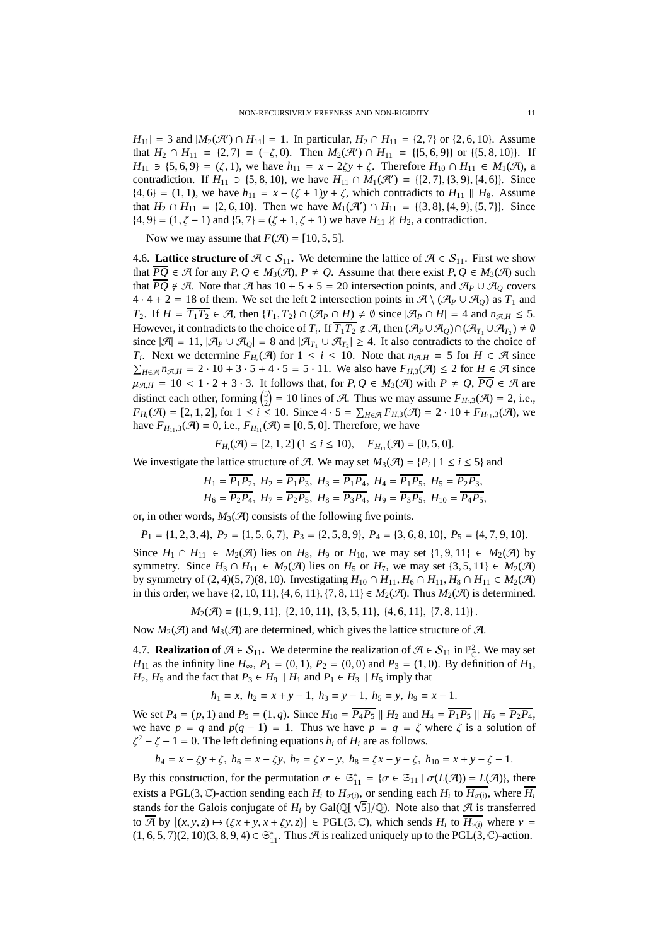*H*<sub>11</sub> $|H_{11}| = 3$  and  $|M_2(\mathcal{H}') \cap H_{11}| = 1$ . In particular, *H*<sub>2</sub> ∩ *H*<sub>11</sub> = {2, 7} or {2, 6, 10}. Assume that  $H_2 \cap H_{11} = \{2, 7\} = (-\zeta, 0)$ . Then  $M_2(\mathcal{A}') \cap H_{11} = \{(5, 6, 9)\}$  or  $\{(5, 8, 10)\}$ . If *H*<sub>11</sub> ∋ {5, 6, 9} = ( $\zeta$ , 1), we have  $h_{11} = x - 2\zeta y + \zeta$ . Therefore  $H_{10} \cap H_{11} \in M_1(\mathcal{A})$ , a contradiction. If  $H_{11} \ni \{5, 8, 10\}$ , we have  $H_{11} \cap M_1(\mathcal{H}') = \{(2, 7), (3, 9), (4, 6)\}$ . Since  ${4, 6} = (1, 1)$ , we have  $h_{11} = x - (\zeta + 1)y + \zeta$ , which contradicts to  $H_{11} || H_8$ . Assume that *H*<sub>2</sub> ∩ *H*<sub>11</sub> = {2, 6, 10}. Then we have *M*<sub>1</sub>( $\mathcal{A}'$ ) ∩ *H*<sub>11</sub> = {{3, 8}, {4, 9}, {5, 7}}. Since  ${4, 9} = (1, \zeta - 1)$  and  ${5, 7} = (\zeta + 1, \zeta + 1)$  we have  $H_{11} \nparallel H_2$ , a contradiction.

Now we may assume that  $F(\mathcal{A}) = [10, 5, 5]$ .

<span id="page-10-1"></span>4.6. **Lattice structure of**  $\mathcal{A} \in \mathcal{S}_{11}$ . We determine the lattice of  $\mathcal{A} \in \mathcal{S}_{11}$ . First we show that  $\overline{PQ} \in \mathcal{A}$  for any  $P, Q \in M_3(\mathcal{A}), P \neq Q$ . Assume that there exist  $P, Q \in M_3(\mathcal{A})$  such that  $\overline{PQ} \notin \mathcal{A}$ . Note that  $\mathcal{A}$  has  $10 + 5 + 5 = 20$  intersection points, and  $\mathcal{A}_P \cup \mathcal{A}_O$  covers  $4 \cdot 4 + 2 = 18$  of them. We set the left 2 intersection points in  $\mathcal{A} \setminus (\mathcal{A}_P \cup \mathcal{A}_Q)$  as  $T_1$  and *T*<sub>2</sub>. If  $H = \overline{T_1 T_2} \in \mathcal{A}$ , then  $\{T_1, T_2\} \cap (\mathcal{A}_P \cap H) \neq \emptyset$  since  $|\mathcal{A}_P \cap H| = 4$  and  $n_{\mathcal{A},H} \leq 5$ . However, it contradicts to the choice of  $T_i$ . If  $\overline{T_1T_2} \notin \mathcal{A}$ , then  $(\mathcal{A}_P \cup \mathcal{A}_Q) \cap (\mathcal{A}_{T_1} \cup \mathcal{A}_{T_2}) \neq \emptyset$ since  $|\mathcal{A}| = 11$ ,  $|\mathcal{A}_P \cup \mathcal{A}_Q| = 8$  and  $|\mathcal{A}_{T_1} \cup \mathcal{A}_{T_2}| \ge 4$ . It also contradicts to the choice of *T*<sub>*i*</sub>. Next we determine  $\tilde{F}_{H_i}(\mathcal{A})$  for  $1 \le i \le 10$ . Note that  $n_{\mathcal{A},H} = 5$  for  $H \in \mathcal{A}$  since  $\sum_{H \in \mathcal{A}} n_{\mathcal{A},H} = 2 \cdot 10 + 3 \cdot 5 + 4 \cdot 5 = 5 \cdot 11$ . We also have  $F_{H,3}(\mathcal{A}) \le 2$  for  $H \in \mathcal{A}$  since  $\mu_{\mathcal{A},H} = 10 < 1 \cdot 2 + 3 \cdot 3$ . It follows that, for  $P, Q \in M_3(\mathcal{A})$  with  $P \neq Q, \overline{PQ} \in \mathcal{A}$  are distinct each other, forming  $\binom{5}{2} = 10$  lines of A. Thus we may assume  $F_{H_i,3}(\mathcal{A}) = 2$ , i.e.,  $F_{H_i}(\mathcal{A}) = [2, 1, 2]$ , for  $1 \le i \le 10$ . Since  $4 \cdot 5 = \sum_{H \in \mathcal{A}} F_{H,3}(\mathcal{A}) = 2 \cdot 10 + F_{H_{11},3}(\mathcal{A})$ , we have  $F_{H_{11},3}(\mathcal{A}) = 0$ , i.e.,  $F_{H_{11}}(\mathcal{A}) = [0, 5, 0]$ . Therefore, we have

$$
F_{H_i}(\mathcal{A}) = [2, 1, 2] \ (1 \leq i \leq 10), \quad F_{H_{11}}(\mathcal{A}) = [0, 5, 0].
$$

We investigate the lattice structure of A. We may set  $M_3(\mathcal{A}) = \{P_i \mid 1 \le i \le 5\}$  and

$$
H_1 = \overline{P_1 P_2}, H_2 = \overline{P_1 P_3}, H_3 = \overline{P_1 P_4}, H_4 = \overline{P_1 P_5}, H_5 = \overline{P_2 P_3},
$$
  

$$
H_6 = \overline{P_2 P_4}, H_7 = \overline{P_2 P_5}, H_8 = \overline{P_3 P_4}, H_9 = \overline{P_3 P_5}, H_{10} = \overline{P_4 P_5},
$$

or, in other words,  $M_3(\mathcal{A})$  consists of the following five points.

$$
P_1 = \{1, 2, 3, 4\}, P_2 = \{1, 5, 6, 7\}, P_3 = \{2, 5, 8, 9\}, P_4 = \{3, 6, 8, 10\}, P_5 = \{4, 7, 9, 10\}.
$$

Since *H*<sub>1</sub> ∩ *H*<sub>11</sub> ∈ *M*<sub>2</sub>( $\mathcal{A}$ ) lies on *H*<sub>8</sub>, *H*<sub>9</sub> or *H*<sub>10</sub>, we may set {1, 9, 11} ∈ *M*<sub>2</sub>( $\mathcal{A}$ ) by symmetry. Since  $H_3 \cap H_{11} \in M_2(\mathcal{A})$  lies on  $H_5$  or  $H_7$ , we may set {3, 5, 11}  $\in M_2(\mathcal{A})$ by symmetry of (2, 4)(5, 7)(8, 10). Investigating  $H_{10} ∩ H_{11}$ ,  $H_6 ∩ H_{11}$ ,  $H_8 ∩ H_{11} ∈ M_2(\mathcal{A})$ in this order, we have {2, 10, 11}, {4, 6, 11}, {7, 8, 11} ∈  $M_2(\mathcal{A})$ . Thus  $M_2(\mathcal{A})$  is determined.

$$
M_2(\mathcal{A}) = \{ \{1, 9, 11\}, \{2, 10, 11\}, \{3, 5, 11\}, \{4, 6, 11\}, \{7, 8, 11\} \}.
$$

<span id="page-10-0"></span>Now  $M_2(\mathcal{A})$  and  $M_3(\mathcal{A})$  are determined, which gives the lattice structure of  $\mathcal{A}$ .

4.7. **Realization of**  $\mathcal{A} \in \mathcal{S}_{11}$ . We determine the realization of  $\mathcal{A} \in \mathcal{S}_{11}$  in  $\mathbb{P}_{\mathbb{C}}^2$ . We may set *H*<sub>11</sub> as the infinity line  $H_{\infty}$ ,  $P_1 = (0, 1)$ ,  $P_2 = (0, 0)$  and  $P_3 = (1, 0)$ . By definition of  $H_1$ , *H*<sub>2</sub>, *H*<sub>5</sub> and the fact that  $P_3 \in H_9 \parallel H_1$  and  $P_1 \in H_3 \parallel H_5$  imply that

$$
h_1 = x
$$
,  $h_2 = x + y - 1$ ,  $h_3 = y - 1$ ,  $h_5 = y$ ,  $h_9 = x - 1$ .

We set  $P_4 = (p, 1)$  and  $P_5 = (1, q)$ . Since  $H_{10} = \overline{P_4P_5} \parallel H_2$  and  $H_4 = \overline{P_1P_5} \parallel H_6 = \overline{P_2P_4}$ , we have  $p = q$  and  $p(q - 1) = 1$ . Thus we have  $p = q = \zeta$  where  $\zeta$  is a solution of  $\zeta^2 - \zeta - 1 = 0$ . The left defining equations  $h_i$  of  $H_i$  are as follows.

 $h_4 = x - \zeta y + \zeta$ ,  $h_6 = x - \zeta y$ ,  $h_7 = \zeta x - y$ ,  $h_8 = \zeta x - y - \zeta$ ,  $h_{10} = x + y - \zeta - 1$ .

By this construction, for the permutation  $\sigma \in \mathfrak{S}_{11}^* = {\sigma \in \mathfrak{S}_{11} | \sigma(L(\mathcal{A})) = L(\mathcal{A})}$ , there exists a PGL(3,  $\mathbb{C}$ )-action sending each  $H_i$  to  $H_{\sigma(i)}$ , or sending each  $H_i$  to  $H_{\sigma(i)}$ , where  $H_i$ stands for the Galois conjugate of  $H_i$  by Gal(Q[ $\sqrt{5}$ ]/Q). Note also that  $\overline{A}$  is transferred to  $\overline{\mathcal{A}}$  by  $[(x, y, z) \mapsto (\zeta x + y, x + \zeta y, z)] \in \text{PGL}(3, \mathbb{C})$ , which sends  $H_i$  to  $\overline{H_{\nu(i)}}$  where  $\nu =$  $(1, 6, 5, 7)(2, 10)(3, 8, 9, 4) \in \mathfrak{S}_{11}^*$ . Thus A is realized uniquely up to the PGL(3, C)-action.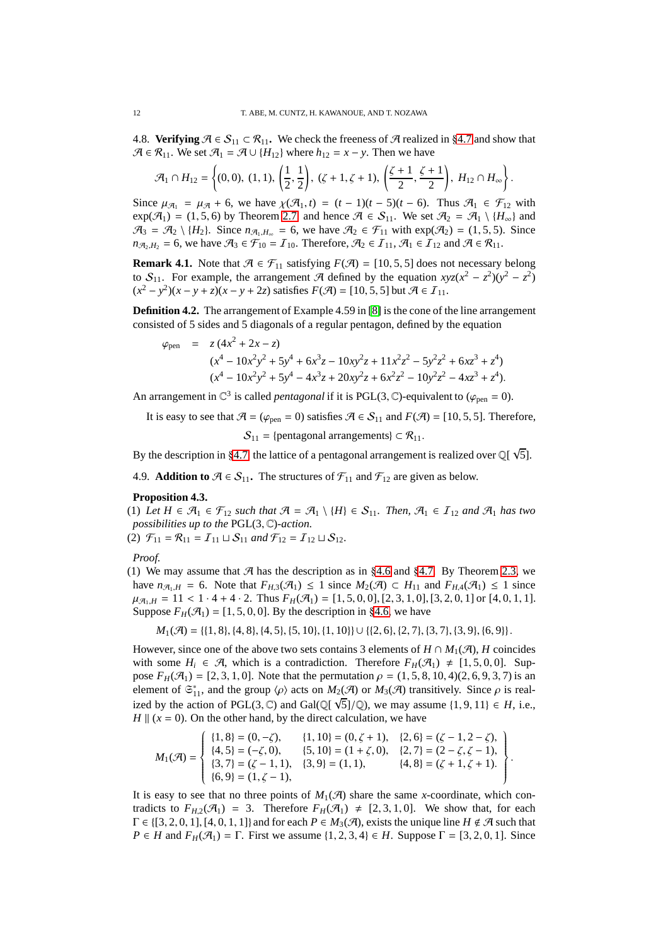<span id="page-11-1"></span>4.8. **Verifying**  $A \in S_{11}$  ⊂  $R_{11}$ . We check the freeness of  $A$  realized in §[4.7](#page-10-0) and show that  $\mathcal{A} \in \mathcal{R}_{11}$ . We set  $\mathcal{A}_1 = \mathcal{A} \cup \{H_{12}\}$  where  $h_{12} = x - y$ . Then we have

$$
\mathcal{A}_1 \cap H_{12} = \left\{ (0,0), (1,1), \left( \frac{1}{2}, \frac{1}{2} \right), (\zeta + 1, \zeta + 1), \left( \frac{\zeta + 1}{2}, \frac{\zeta + 1}{2} \right), H_{12} \cap H_{\infty} \right\}.
$$

Since  $\mu_{\mathcal{A}_1} = \mu_{\mathcal{A}} + 6$ , we have  $\chi(\mathcal{A}_1, t) = (t - 1)(t - 5)(t - 6)$ . Thus  $\mathcal{A}_1 \in \mathcal{F}_{12}$  with  $exp(\mathcal{A}_1) = (1, 5, 6)$  by Theorem [2.7,](#page-4-0) and hence  $\mathcal{A} \in \mathcal{S}_{11}$ . We set  $\mathcal{A}_2 = \mathcal{A}_1 \setminus \{H_\infty\}$  and  $\mathcal{A}_3 = \mathcal{A}_2 \setminus \{H_2\}$ . Since  $n_{\mathcal{A}_1, H_{\infty}} = 6$ , we have  $\mathcal{A}_2 \in \mathcal{F}_{11}$  with  $\exp(\mathcal{A}_2) = (1, 5, 5)$ . Since  $n_{\mathcal{A}_2,H_2} = 6$ , we have  $\mathcal{A}_3 \in \mathcal{F}_{10} = I_{10}$ . Therefore,  $\mathcal{A}_2 \in I_{11}$ ,  $\mathcal{A}_1 \in I_{12}$  and  $\mathcal{A} \in \mathcal{R}_{11}$ .

**Remark 4.1.** Note that  $A \in \mathcal{F}_{11}$  satisfying  $F(A) = [10, 5, 5]$  does not necessary belong to  $S_{11}$ . For example, the arrangement A defined by the equation  $xyz(x^2 - z^2)(y^2 - z^2)$  $(x^2 - y^2)(x - y + z)(x - y + 2z)$  satisfies  $F(\mathcal{A}) = [10, 5, 5]$  but  $\mathcal{A} \in \mathcal{I}_{11}$ .

<span id="page-11-0"></span>**Definition 4.2.** The arrangement of Example 4.59 in [\[8\]](#page-20-0) is the cone of the line arrangement consisted of 5 sides and 5 diagonals of a regular pentagon, defined by the equation

$$
\varphi_{\text{pen}} = z (4x^2 + 2x - z)
$$
  
\n
$$
(x^4 - 10x^2y^2 + 5y^4 + 6x^3z - 10xy^2z + 11x^2z^2 - 5y^2z^2 + 6xz^3 + z^4)
$$
  
\n
$$
(x^4 - 10x^2y^2 + 5y^4 - 4x^3z + 20xy^2z + 6x^2z^2 - 10y^2z^2 - 4xz^3 + z^4).
$$

An arrangement in  $\mathbb{C}^3$  is called *pentagonal* if it is PGL(3,  $\mathbb{C}$ )-equivalent to ( $\varphi_{pen} = 0$ ).

It is easy to see that  $\mathcal{A} = (\varphi_{\text{nen}} = 0)$  satisfies  $\mathcal{A} \in \mathcal{S}_{11}$  and  $F(\mathcal{A}) = [10, 5, 5]$ . Therefore,

 $S_{11}$  = {pentagonal arrangements}  $\subset \mathcal{R}_{11}$ .

By the description in §[4.7,](#page-10-0) the lattice of a pentagonal arrangement is realized over  $\mathbb{Q}[\sqrt{5}]$ .

4.9. **Addition to**  $\mathcal{A} \in \mathcal{S}_{11}$ . The structures of  $\mathcal{F}_{11}$  and  $\mathcal{F}_{12}$  are given as below.

#### <span id="page-11-2"></span>**Proposition 4.3.**

(1) Let  $H \in \mathcal{F}_1$   $\in \mathcal{F}_{12}$  *such that*  $\mathcal{F} = \mathcal{F}_1 \setminus \{H\} \in \mathcal{S}_{11}$ *. Then,*  $\mathcal{F}_1 \in \mathcal{F}_{12}$  *and*  $\mathcal{F}_1$  *has two possibilities up to the* PGL(3, C)*-action.*

(2)  $\mathcal{F}_{11} = \mathcal{R}_{11} = I_{11} \sqcup \mathcal{S}_{11}$  *and*  $\mathcal{F}_{12} = I_{12} \sqcup \mathcal{S}_{12}$ .

*Proof.*

(1) We may assume that  $\mathcal{A}$  has the description as in §[4.6](#page-10-1) and §[4.7.](#page-10-0) By Theorem [2.3,](#page-3-1) we have  $n_{\mathcal{A}_1,H} = 6$ . Note that  $F_{H,3}(\mathcal{A}_1) \leq 1$  since  $M_2(\mathcal{A}) \subset H_{11}$  and  $F_{H,4}(\mathcal{A}_1) \leq 1$  since  $\mu_{\mathcal{A}_1,H} = 11 < 1 \cdot 4 + 4 \cdot 2$ . Thus  $F_H(\mathcal{A}_1) = [1, 5, 0, 0], [2, 3, 1, 0], [3, 2, 0, 1]$  or  $[4, 0, 1, 1]$ . Suppose  $F_H(\mathcal{A}_1) = [1, 5, 0, 0]$ . By the description in §[4.6,](#page-10-1) we have

$$
M_1(\mathcal{A}) = \{ \{1, 8\}, \{4, 8\}, \{4, 5\}, \{5, 10\}, \{1, 10\} \} \cup \{ \{2, 6\}, \{2, 7\}, \{3, 7\}, \{3, 9\}, \{6, 9\} \}.
$$

However, since one of the above two sets contains 3 elements of  $H \cap M_1(\mathcal{A})$ , *H* coincides with some  $H_i \in \mathcal{A}$ , which is a contradiction. Therefore  $F_H(\mathcal{A}_1) \neq [1, 5, 0, 0]$ . Suppose  $F_H(\mathcal{A}_1) = [2, 3, 1, 0]$ . Note that the permutation  $\rho = (1, 5, 8, 10, 4)(2, 6, 9, 3, 7)$  is an element of  $\mathfrak{S}_{11}^*$ , and the group  $\langle \rho \rangle$  acts on  $M_2(\mathcal{A})$  or  $M_3(\mathcal{A})$  transitively. Since  $\rho$  is realized by the action of PGL(3, C) and Gal(Q[ $\sqrt{5}$ ]/Q), we may assume {1, 9, 11}  $\in$  *H*, i.e.,  $H \parallel (x = 0)$ . On the other hand, by the direct calculation, we have

$$
M_1(\mathcal{A}) = \left\{ \begin{array}{ll} \{1,8\} = (0,-\zeta), & \{1,10\} = (0,\zeta+1), & \{2,6\} = (\zeta-1,2-\zeta), \\ \{4,5\} = (-\zeta,0), & \{5,10\} = (1+\zeta,0), & \{2,7\} = (2-\zeta,\zeta-1), \\ \{3,7\} = (\zeta-1,1), & \{3,9\} = (1,1), & \{4,8\} = (\zeta+1,\zeta+1). \\ \{6,9\} = (1,\zeta-1), & & \{4,8\} = (\zeta+1,\zeta+1). \end{array} \right\}.
$$

It is easy to see that no three points of  $M_1(\mathcal{A})$  share the same *x*-coordinate, which contradicts to  $F_{H2}(\mathcal{A}_1) = 3$ . Therefore  $F_H(\mathcal{A}_1) \neq [2, 3, 1, 0]$ . We show that, for each  $\Gamma \in \{ [3, 2, 0, 1], [4, 0, 1, 1] \}$  and for each  $P \in M_3(\mathcal{A})$ , exists the unique line  $H \notin \mathcal{A}$  such that  $P \in H$  and  $F_H(\mathcal{A}_1) = \Gamma$ . First we assume  $\{1, 2, 3, 4\} \in H$ . Suppose  $\Gamma = \{3, 2, 0, 1\}$ . Since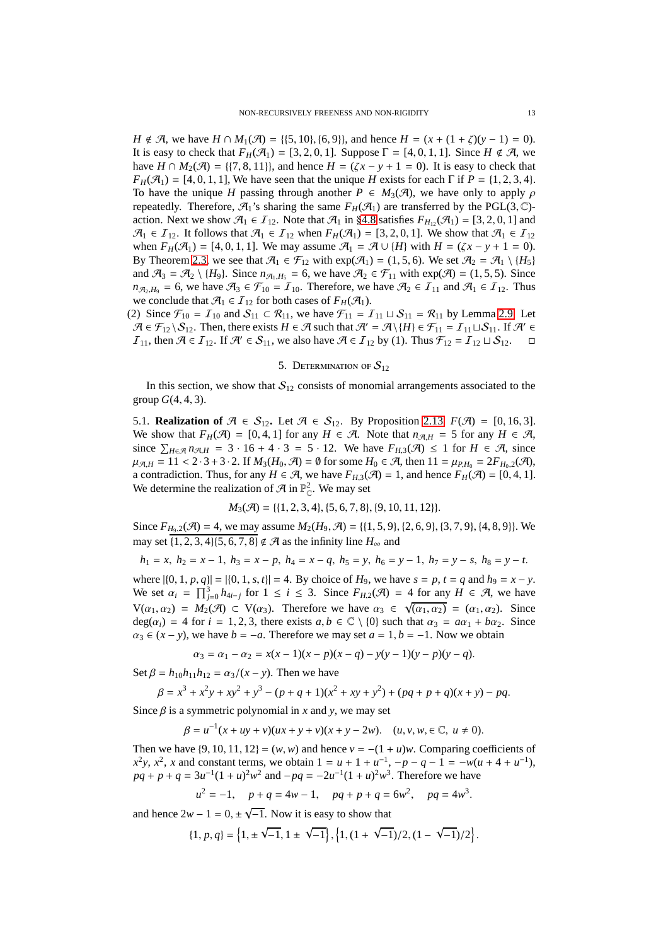*H* ∉  $\mathcal{A}$ , we have  $H \cap M_1(\mathcal{A}) = \{(5, 10), (6, 9)\}$ , and hence  $H = (x + (1 + \zeta)(y - 1) = 0)$ . It is easy to check that  $F_H(\mathcal{A}_1) = [3, 2, 0, 1]$ . Suppose  $\Gamma = [4, 0, 1, 1]$ . Since  $H \notin \mathcal{A}$ , we have *H* ∩ *M*<sub>2</sub>( $\mathcal{A}$ ) = {{7, 8, 11}}, and hence *H* = ( $\zeta x - y + 1 = 0$ ). It is easy to check that  $F_H(\mathcal{A}_1) = [4, 0, 1, 1]$ , We have seen that the unique *H* exists for each Γ if  $P = \{1, 2, 3, 4\}$ . To have the unique *H* passing through another  $P \in M_3(\mathcal{A})$ , we have only to apply  $\rho$ repeatedly. Therefore,  $\mathcal{A}_1$ 's sharing the same  $F_H(\mathcal{A}_1)$  are transferred by the PGL(3, C)action. Next we show  $\mathcal{A}_1 \in \mathcal{I}_{12}$ . Note that  $\mathcal{A}_1$  in §[4.8](#page-11-1) satisfies  $F_{H_{12}}(\mathcal{A}_1) = [3, 2, 0, 1]$  and  $\mathcal{A}_1 \in \mathcal{I}_{12}$ . It follows that  $\mathcal{A}_1 \in \mathcal{I}_{12}$  when  $F_H(\mathcal{A}_1) = [3, 2, 0, 1]$ . We show that  $\mathcal{A}_1 \in \mathcal{I}_{12}$ when  $F_H(\mathcal{A}_1) = [4, 0, 1, 1]$ . We may assume  $\mathcal{A}_1 = \mathcal{A} \cup \{H\}$  with  $H = (\zeta x - y + 1 = 0)$ . By Theorem [2.3,](#page-3-1) we see that  $\mathcal{A}_1 \in \mathcal{F}_{12}$  with  $exp(\mathcal{A}_1) = (1, 5, 6)$ . We set  $\mathcal{A}_2 = \mathcal{A}_1 \setminus \{H_5\}$ and  $\mathcal{A}_3 = \mathcal{A}_2 \setminus \{H_9\}$ . Since  $n_{\mathcal{A}_1, H_5} = 6$ , we have  $\mathcal{A}_2 \in \mathcal{F}_{11}$  with  $\exp(\mathcal{A}) = (1, 5, 5)$ . Since  $n_{A_2,H_9} = 6$ , we have  $A_3 \in \mathcal{F}_{10} = I_{10}$ . Therefore, we have  $A_2 \in I_{11}$  and  $A_1 \in I_{12}$ . Thus we conclude that  $\mathcal{A}_1 \in I_{12}$  for both cases of  $F_H(\mathcal{A}_1)$ .

(2) Since  $\mathcal{F}_{10} = I_{10}$  and  $\mathcal{S}_{11} \subset \mathcal{R}_{11}$ , we have  $\mathcal{F}_{11} = I_{11} \sqcup \mathcal{S}_{11} = \mathcal{R}_{11}$  by Lemma [2.9.](#page-4-2) Let  $\mathcal{A} \in \mathcal{F}_{12} \setminus \mathcal{S}_{12}$ . Then, there exists  $H \in \mathcal{A}$  such that  $\mathcal{A}' = \mathcal{A} \setminus \{H\} \in \mathcal{F}_{11} = I_{11} \sqcup \mathcal{S}_{11}$ . If  $\mathcal{A}' \in$ <br>*I*<sub>11</sub>, then  $\mathcal{A} \in I_{12}$ . If  $\mathcal{A}' \in \mathcal{S}_{11}$ , we also have  $\mathcal{A} \in I_{$  $I_{11}$ , then  $\mathcal{A} \in I_{12}$ . If  $\mathcal{A}' \in S_{11}$ , we also have  $\mathcal{A} \in I_{12}$  by (1). Thus  $\mathcal{F}_{12} = I_{12} \sqcup S_{12}$ .

# 5. DETERMINATION OF  $S_{12}$

<span id="page-12-0"></span>In this section, we show that  $S_{12}$  consists of monomial arrangements associated to the group  $G(4, 4, 3)$ .

5.1. **Realization of**  $\mathcal{A} \in \mathcal{S}_{12}$ . Let  $\mathcal{A} \in \mathcal{S}_{12}$ . By Proposition [2.13,](#page-5-0)  $F(\mathcal{A}) = [0, 16, 3]$ . We show that  $F_H(\mathcal{A}) = [0, 4, 1]$  for any  $H \in \mathcal{A}$ . Note that  $n_{\mathcal{A},H} = 5$  for any  $H \in \mathcal{A}$ , since  $\sum_{H \in \mathcal{A}} n_{\mathcal{A},H} = 3 \cdot 16 + 4 \cdot 3 = 5 \cdot 12$ . We have  $F_{H,3}(\mathcal{A}) \le 1$  for  $H \in \mathcal{A}$ , since  $\mu_{\mathcal{A},H} = 11 < 2 \cdot 3 + 3 \cdot 2$ . If  $M_3(H_0, \mathcal{A}) = \emptyset$  for some  $H_0 \in \mathcal{A}$ , then  $11 = \mu_{P,H_0} = 2F_{H_0,2}(\mathcal{A})$ , a contradiction. Thus, for any  $H \in \mathcal{A}$ , we have  $F_{H,3}(\mathcal{A}) = 1$ , and hence  $F_H(\mathcal{A}) = [0, 4, 1]$ . We determine the realization of  $\mathcal{A}$  in  $\mathbb{P}_{\mathbb{C}}^2$ . We may set

$$
M_3(\mathcal{A}) = \{ \{1, 2, 3, 4\}, \{5, 6, 7, 8\}, \{9, 10, 11, 12\} \}.
$$

Since  $F_{H_9,2}(\mathcal{A}) = 4$ , we may assume  $M_2(H_9, \mathcal{A}) = \{\{1, 5, 9\}, \{2, 6, 9\}, \{3, 7, 9\}, \{4, 8, 9\}\}\.$  We may set  $\{1, 2, 3, 4\}$  $\{5, 6, 7, 8\}$   $\notin \mathcal{A}$  as the infinity line  $H_{\infty}$  and

$$
h_1 = x, h_2 = x - 1, h_3 = x - p, h_4 = x - q, h_5 = y, h_6 = y - 1, h_7 = y - s, h_8 = y - t.
$$

where  $|(0, 1, p, q)| = |(0, 1, s, t)| = 4$ . By choice of  $H_9$ , we have  $s = p, t = q$  and  $h_9 = x - y$ . We set  $\alpha_i = \prod_{j=0}^3 h_{4i-j}$  for  $1 \le i \le 3$ . Since  $F_{H,2}(\mathcal{A}) = 4$  for any  $H \in \mathcal{A}$ , we have  $V(\alpha_1, \alpha_2) = M_2(\mathcal{A}) \subset V(\alpha_3)$ . Therefore we have  $\alpha_3 \in \sqrt{(\alpha_1, \alpha_2)} = (\alpha_1, \alpha_2)$ . Since  $deg(\alpha_i) = 4$  for  $i = 1, 2, 3$ , there exists  $a, b \in \mathbb{C} \setminus \{0\}$  such that  $\alpha_3 = a\alpha_1 + b\alpha_2$ . Since  $\alpha_3 \in (x - y)$ , we have  $b = -a$ . Therefore we may set  $a = 1, b = -1$ . Now we obtain

$$
\alpha_3 = \alpha_1 - \alpha_2 = x(x-1)(x-p)(x-q) - y(y-1)(y-p)(y-q).
$$

Set  $\beta = h_{10}h_{11}h_{12} = \alpha_3/(x - y)$ . Then we have

$$
\beta = x^3 + x^2y + xy^2 + y^3 - (p+q+1)(x^2 + xy + y^2) + (pq+p+q)(x+y) - pq.
$$

Since  $\beta$  is a symmetric polynomial in *x* and *y*, we may set

$$
\beta = u^{-1}(x + uy + v)(ux + y + v)(x + y - 2w). \quad (u, v, w, \in \mathbb{C}, u \neq 0).
$$

Then we have  $\{9, 10, 11, 12\} = (w, w)$  and hence  $v = -(1 + u)w$ . Comparing coefficients of  $x^2y$ ,  $x^2$ , *x* and constant terms, we obtain 1 = *u* + 1 + *u*<sup>-1</sup>, -*p* − *q* − 1 = −*w*(*u* + 4 + *u*<sup>-1</sup>),  $pq + p + q = 3u^{-1}(1 + u)^2w^2$  and  $-pq = -2u^{-1}(1 + u)^2w^3$ . Therefore we have

$$
u^2 = -1
$$
,  $p + q = 4w - 1$ ,  $pq + p + q = 6w^2$ ,  $pq = 4w^3$ .

and hence  $2w - 1 = 0, \pm \sqrt{-1}$ . Now it is easy to show that

$$
\{1, p, q\} = \left\{1, \pm \sqrt{-1}, 1 \pm \sqrt{-1}\right\}, \left\{1, \left(1 + \sqrt{-1}\right)/2, \left(1 - \sqrt{-1}\right)/2\right\}.
$$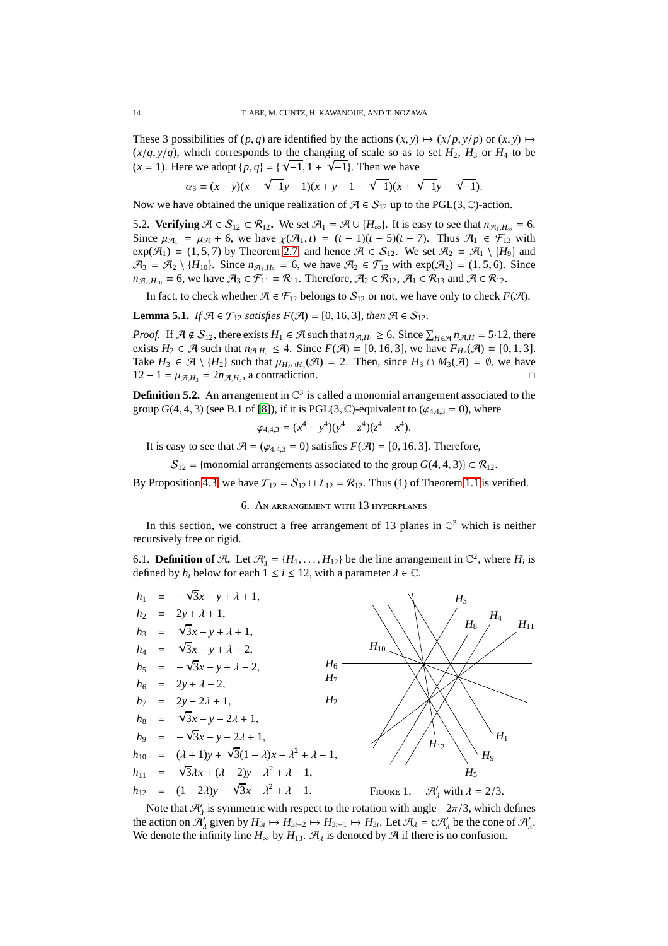These 3 possibilities of  $(p, q)$  are identified by the actions  $(x, y) \mapsto (x/p, y/p)$  or  $(x, y) \mapsto$  $(x/q, y/q)$ , which corresponds to the changing of scale so as to set  $H_2$ ,  $H_3$  or  $H_4$  to be  $(x = 1)$ . Here we adopt  $\{p, q\} = \{\sqrt{-1}, 1 + \sqrt{-1}\}\)$ . Then we have

$$
\alpha_3 = (x - y)(x - \sqrt{-1}y - 1)(x + y - 1 - \sqrt{-1})(x + \sqrt{-1}y - \sqrt{-1}).
$$

Now we have obtained the unique realization of  $\mathcal{A} \in S_{12}$  up to the PGL(3, C)-action.

5.2. **Verifying**  $\mathcal{A} \in \mathcal{S}_{12} \subset \mathcal{R}_{12}$ . We set  $\mathcal{A}_1 = \mathcal{A} \cup \{H_\infty\}$ . It is easy to see that  $n_{\mathcal{A}_1, H_\infty} = 6$ . Since  $\mu_{\mathcal{A}_1} = \mu_{\mathcal{A}} + 6$ , we have  $\chi(\mathcal{A}_1, t) = (t - 1)(t - 5)(t - 7)$ . Thus  $\mathcal{A}_1 \in \mathcal{F}_{13}$  with  $exp(\mathcal{A}_1) = (1, 5, 7)$  by Theorem [2.7,](#page-4-0) and hence  $\mathcal{A} \in \mathcal{S}_{12}$ . We set  $\mathcal{A}_2 = \mathcal{A}_1 \setminus \{H_9\}$  and  $\mathcal{A}_3 = \mathcal{A}_2 \setminus \{H_{10}\}.$  Since  $n_{\mathcal{A}_1, H_9} = 6$ , we have  $\mathcal{A}_2 \in \mathcal{F}_{12}$  with  $\exp(\mathcal{A}_2) = (1, 5, 6)$ . Since  $n_{\mathcal{A}_2,H_{10}} = 6$ , we have  $\mathcal{A}_3 \in \mathcal{F}_{11} = \mathcal{R}_{11}$ . Therefore,  $\mathcal{A}_2 \in \mathcal{R}_{12}$ ,  $\mathcal{A}_1 \in \mathcal{R}_{13}$  and  $\mathcal{A} \in \mathcal{R}_{12}$ .

In fact, to check whether  $\mathcal{A} \in \mathcal{F}_{12}$  belongs to  $\mathcal{S}_{12}$  or not, we have only to check  $F(\mathcal{A})$ .

**Lemma 5.1.** *If*  $\mathcal{A} \in \mathcal{F}_{12}$  *satisfies*  $F(\mathcal{A}) = [0, 16, 3]$ *, then*  $\mathcal{A} \in \mathcal{S}_{12}$ *.* 

*Proof.* If  $\mathcal{A} \notin \mathcal{S}_{12}$ , there exists  $H_1 \in \mathcal{A}$  such that  $n_{\mathcal{A},H_1} \ge 6$ . Since  $\sum_{H \in \mathcal{A}} n_{\mathcal{A},H} = 5.12$ , there exists  $H_2 \in \mathcal{A}$  such that  $n_{\mathcal{A},H_2} \leq 4$ . Since  $F(\mathcal{A}) = [0, 16, 3]$ , we have  $F_{H_2}(\mathcal{A}) = [0, 1, 3]$ . Take  $H_3 \in \mathcal{A} \setminus \{H_2\}$  such that  $\mu_{H_2 \cap H_3}(\mathcal{A}) = 2$ . Then, since  $H_3 \cap M_3(\mathcal{A}) = \emptyset$ , we have  $12 - 1 = \mu_{A,H_3} = 2n_{A,H_3}$ , a contradiction.

<span id="page-13-0"></span>**Definition 5.2.** An arrangement in  $\mathbb{C}^3$  is called a monomial arrangement associated to the group  $G(4, 4, 3)$  (see B.1 of [\[8\]](#page-20-0)), if it is PGL(3, C)-equivalent to ( $\varphi_{4,4,3} = 0$ ), where

$$
\varphi_{4,4,3} = (x^4 - y^4)(y^4 - z^4)(z^4 - x^4).
$$

It is easy to see that  $A = (\varphi_{4,4,3} = 0)$  satisfies  $F(A) = [0, 16, 3]$ . Therefore,

 $S_{12}$  = {monomial arrangements associated to the group  $G(4, 4, 3)$ } ⊂  $\mathcal{R}_{12}$ .

<span id="page-13-1"></span>By Proposition [4.3,](#page-11-2) we have  $\mathcal{F}_{12} = \mathcal{S}_{12} \sqcup \mathcal{I}_{12} = \mathcal{R}_{12}$ . Thus (1) of Theorem [1.1](#page-1-0) is verified.

#### 6. An arrangement with 13 hyperplanes

In this section, we construct a free arrangement of 13 planes in  $\mathbb{C}^3$  which is neither recursively free or rigid.

<span id="page-13-2"></span>6.1. **Definition of A.** Let  $\mathcal{A}'_1 = \{H_1, \ldots, H_{12}\}$  be the line arrangement in  $\mathbb{C}^2$ , where  $H_i$  is defined by  $h_i$  below for each  $1 \le i \le 12$ , with a parameter  $\lambda \in \mathbb{C}$ .



Note that  $\mathcal{H}'_{\lambda}$  is symmetric with respect to the rotation with angle  $-2\pi/3$ , which defines the action on  $\mathcal{A}'_{\lambda}$  given by  $H_{3i} \mapsto H_{3i-2} \mapsto H_{3i-1} \mapsto H_{3i}$ . Let  $\mathcal{A}_{\lambda} = c\mathcal{A}'_{\lambda}$  be the cone of  $\mathcal{A}'_{\lambda}$ . We denote the infinity line  $H_{\infty}$  by  $H_{13}$ .  $\mathcal{A}_{\lambda}$  is denoted by  $\mathcal{A}$  if there is no confusion.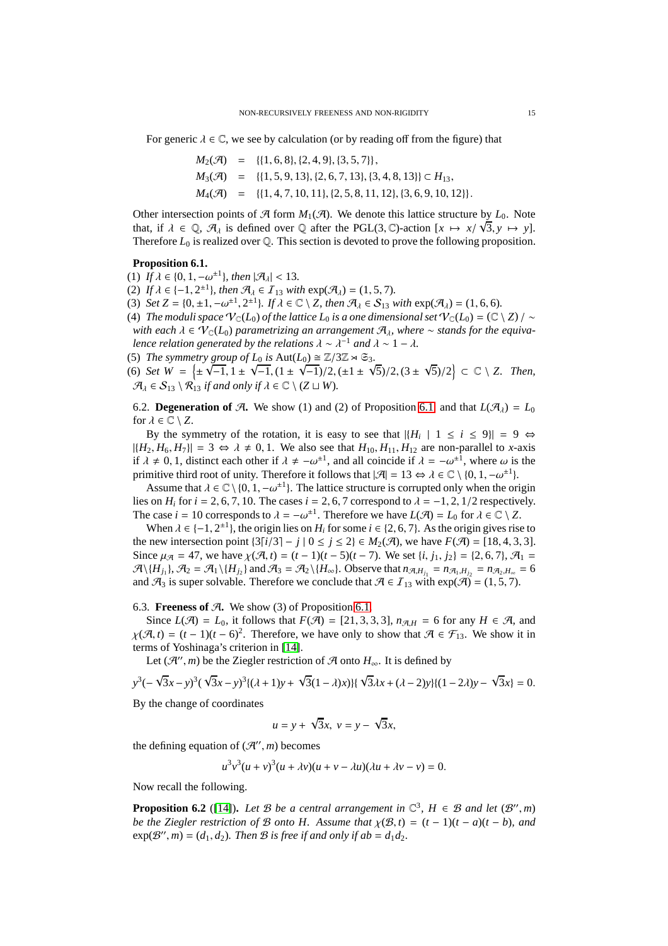For generic  $\lambda \in \mathbb{C}$ , we see by calculation (or by reading off from the figure) that

$$
M_2(\mathcal{A}) = \{ \{1, 6, 8\}, \{2, 4, 9\}, \{3, 5, 7\} \},
$$
  
\n
$$
M_3(\mathcal{A}) = \{ \{1, 5, 9, 13\}, \{2, 6, 7, 13\}, \{3, 4, 8, 13\} \} \subset H_{13},
$$
  
\n
$$
M_4(\mathcal{A}) = \{ \{1, 4, 7, 10, 11\}, \{2, 5, 8, 11, 12\}, \{3, 6, 9, 10, 12\} \}.
$$

Other intersection points of  $\mathcal A$  form  $M_1(\mathcal A)$ . We denote this lattice structure by  $L_0$ . Note that, if  $\lambda \in \mathbb{Q}$ ,  $\mathcal{A}_{\lambda}$  is defined over  $\mathbb{Q}$  after the PGL(3, C)-action  $[x \mapsto x/\sqrt{3}, y \mapsto y]$ . Therefore  $L_0$  is realized over  $\mathbb Q$ . This section is devoted to prove the following proposition.

# <span id="page-14-0"></span>**Proposition 6.1.**

(1) *If*  $\lambda \in \{0, 1, -\omega^{\pm 1}\}$ *, then*  $|\mathcal{A}_{\lambda}|$  < 13*.* 

- (2) If  $\lambda \in \{-1, 2^{\pm 1}\}\$ , then  $\mathcal{A}_{\lambda} \in \mathcal{I}_{13}$  with  $\exp(\mathcal{A}_{\lambda}) = (1, 5, 7)$ *.*
- (3) *Set*  $Z = \{0, \pm 1, -\omega^{\pm 1}, 2^{\pm 1}\}\$ *. If*  $\lambda \in \mathbb{C} \setminus Z$ *, then*  $\mathcal{A}_{\lambda} \in S_{13}$  *with*  $\exp(\mathcal{A}_{\lambda}) = (1, 6, 6)$ *.*
- (4) *The moduli space*  $V_C(L_0)$  *of the lattice*  $L_0$  *is a one dimensional set*  $V_C(L_0) = (C \setminus Z) / \sim$ *with each*  $\lambda \in \mathcal{V}_C(L_0)$  *parametrizing an arrangement*  $\mathcal{A}_\lambda$ *, where* ∼ *stands for the equivalence relation generated by the relations*  $\lambda \sim \lambda^{-1}$  *and*  $\lambda \sim 1 - \lambda$ *.*
- (5) *The symmetry group of L<sub>0</sub> is Aut*(*L<sub>0</sub>*)  $\cong \mathbb{Z}/3\mathbb{Z} \rtimes \mathfrak{S}_3$ *.*

(6) *Set*  $W = \{\pm 1\}$  $\sqrt{-1}, 1 \pm \sqrt{-1}, (1 \pm \sqrt{-1})/2, (\pm 1 \pm \sqrt{5})/2, (3 \pm \sqrt{5})/2$ } ⊂ ℂ \ *Z. Then,*  $\mathcal{A}_{\lambda} \in \mathcal{S}_{13} \setminus \mathcal{R}_{13}$  *if and only if*  $\lambda \in \mathbb{C} \setminus (Z \sqcup W)$ *.* 

6.2. **Degeneration of**  $\mathcal{A}$ . We show (1) and (2) of Proposition [6.1,](#page-14-0) and that  $L(\mathcal{A}) = L_0$ for  $\lambda \in \mathbb{C} \setminus Z$ .

By the symmetry of the rotation, it is easy to see that  $|(H_i \mid 1 \le i \le 9)| = 9 \Leftrightarrow$  $|{H_2, H_6, H_7}| = 3 \Leftrightarrow \lambda \neq 0, 1$ . We also see that  $H_{10}, H_{11}, H_{12}$  are non-parallel to *x*-axis if  $\lambda \neq 0, 1$ , distinct each other if  $\lambda \neq -\omega^{\pm 1}$ , and all coincide if  $\lambda = -\omega^{\pm 1}$ , where  $\omega$  is the primitive third root of unity. Therefore it follows that  $|\mathcal{A}| = 13 \Leftrightarrow \lambda \in \mathbb{C} \setminus \{0, 1, -\omega^{\pm 1}\}.$ 

Assume that  $\lambda \in \mathbb{C} \setminus \{0, 1, -\omega^{\pm 1}\}\.$  The lattice structure is corrupted only when the origin lies on  $H_i$  for  $i = 2, 6, 7, 10$ . The cases  $i = 2, 6, 7$  correspond to  $\lambda = -1, 2, 1/2$  respectively. The case  $i = 10$  corresponds to  $\lambda = -\omega^{\pm 1}$ . Therefore we have  $L(\mathcal{A}) = L_0$  for  $\lambda \in \mathbb{C} \setminus Z$ .

When  $\lambda \in \{-1, 2^{\pm 1}\}\)$ , the origin lies on  $H_i$  for some  $i \in \{2, 6, 7\}$ . As the origin gives rise to the new intersection point  $\{3[i/3] - j \mid 0 \le j \le 2\} \in M_2(\mathcal{A})$ , we have  $F(\mathcal{A}) = [18, 4, 3, 3].$ Since  $\mu_{\mathcal{A}} = 47$ , we have  $\chi(\mathcal{A}, t) = (t - 1)(t - 5)(t - 7)$ . We set  $\{i, j_1, j_2\} = \{2, 6, 7\}, \mathcal{A}_1 =$  $\mathcal{A}\setminus\{H_{j_1}\}, \mathcal{A}_2 = \mathcal{A}_1\setminus\{H_{j_2}\}$  and  $\mathcal{A}_3 = \mathcal{A}_2\setminus\{H_{\infty}\}.$  Observe that  $n_{\mathcal{A},H_{j_1}} = n_{\mathcal{A}_1,H_{j_2}} = n_{\mathcal{A}_2,H_{\infty}} = 6$ and  $\mathcal{A}_3$  is super solvable. Therefore we conclude that  $\mathcal{A} \in \mathcal{I}_{13}$  with  $\exp(\mathcal{A}) = (1, 5, 7)$ .

# 6.3. **Freeness of**  $A$ **.** We show (3) of Proposition [6.1.](#page-14-0)

Since  $L(\mathcal{A}) = L_0$ , it follows that  $F(\mathcal{A}) = [21, 3, 3, 3]$ ,  $n_{\mathcal{A},H} = 6$  for any  $H \in \mathcal{A}$ , and  $\chi(\mathcal{A}, t) = (t - 1)(t - 6)^2$ . Therefore, we have only to show that  $\mathcal{A} \in \mathcal{F}_{13}$ . We show it in terms of Yoshinaga's criterion in [\[14\]](#page-20-16).

Let ( $\mathcal{A}$ '', *m*) be the Ziegler restriction of  $\mathcal{A}$  onto  $H_{\infty}$ . It is defined by

$$
y^{3}(-\sqrt{3}x-y)^{3}(\sqrt{3}x-y)^{3}\{( \lambda +1)y+\sqrt{3}(1-\lambda)x)\}\{\sqrt{3}\lambda x+(\lambda-2)y\}\{(1-2\lambda)y-\sqrt{3}x\}=0.
$$

By the change of coordinates

$$
u = y + \sqrt{3}x, \ v = y - \sqrt{3}x,
$$

the defining equation of  $(\mathcal{A}'', m)$  becomes

$$
u3v3(u + v)3(u + \lambda v)(u + v - \lambda u)(\lambda u + \lambda v - v) = 0.
$$

Now recall the following.

<span id="page-14-1"></span>**Proposition 6.2** ([\[14\]](#page-20-16)). Let B be a central arrangement in  $\mathbb{C}^3$ ,  $H \in \mathcal{B}$  and let  $(\mathcal{B}'', m)$ *be the Ziegler restriction of B onto H. Assume that*  $\chi(\mathcal{B}, t) = (t - 1)(t - a)(t - b)$ , and  $exp(B'', m) = (d_1, d_2)$ *. Then B is free if and only if ab* =  $d_1d_2$ *.*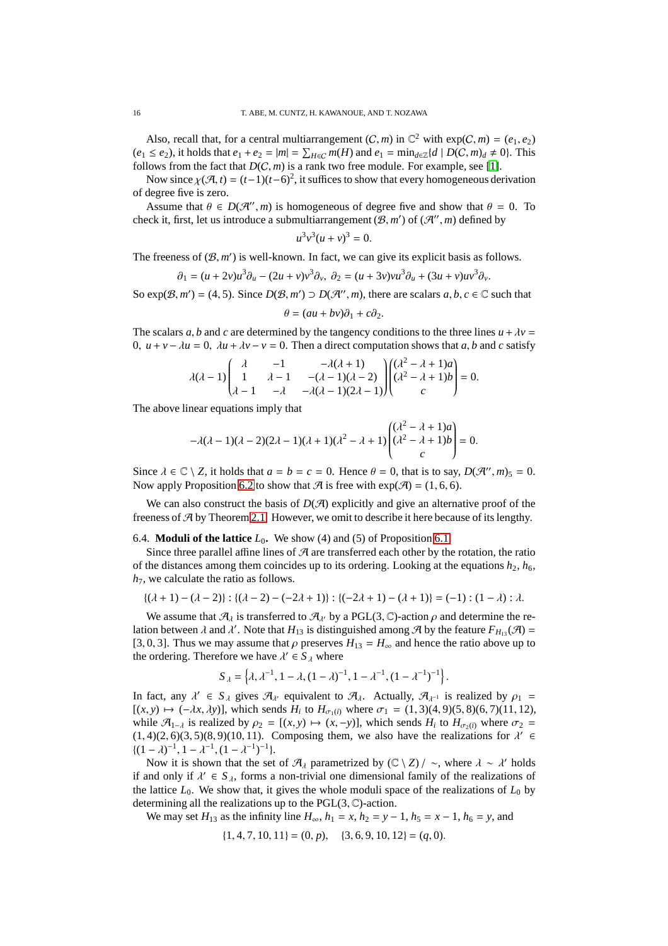Also, recall that, for a central multiarrangement  $(C, m)$  in  $\mathbb{C}^2$  with  $exp(C, m) = (e_1, e_2)$  $(e_1 \le e_2)$ , it holds that  $e_1 + e_2 = |m| = \sum_{H \in C} m(H)$  and  $e_1 = \min_{d \in \mathbb{Z}} \{d \mid D(C, m)_d \ne 0\}$ . This follows from the fact that  $D(C, m)$  is a rank two free module. For example, see [\[1\]](#page-20-15).

Now since  $\chi(\mathcal{A}, t) = (t-1)(t-6)^2$ , it suffices to show that every homogeneous derivation of degree five is zero.

Assume that  $\theta \in D(\mathcal{H}', m)$  is homogeneous of degree five and show that  $\theta = 0$ . To check it, first, let us introduce a submultiarrangement  $(B, m')$  of  $(A'', m)$  defined by

$$
u^3v^3(u + v)^3 = 0.
$$

The freeness of  $(\mathcal{B}, m')$  is well-known. In fact, we can give its explicit basis as follows.

$$
\partial_1 = (u+2v)u^3\partial_u - (2u+v)v^3\partial_v, \ \partial_2 = (u+3v)v^3\partial_u + (3u+v)uv^3\partial_v.
$$

So  $exp(B, m') = (4, 5)$ . Since  $D(B, m') \supset D(\mathcal{A}'', m)$ , there are scalars  $a, b, c \in \mathbb{C}$  such that  $\theta = (au + bv)\partial_1 + c\partial_2.$ 

The scalars *a*, *b* and *c* are determined by the tangency conditions to the three lines  $u + \lambda v =$ 0,  $u + v - \lambda u = 0$ ,  $\lambda u + \lambda v - v = 0$ . Then a direct computation shows that *a*, *b* and *c* satisfy

$$
\lambda(\lambda - 1) \begin{pmatrix} \lambda & -1 & -\lambda(\lambda + 1) \\ 1 & \lambda - 1 & -(\lambda - 1)(\lambda - 2) \\ \lambda - 1 & -\lambda & -\lambda(\lambda - 1)(2\lambda - 1) \end{pmatrix} \begin{pmatrix} (\lambda^2 - \lambda + 1)a \\ (\lambda^2 - \lambda + 1)b \\ c \end{pmatrix} = 0.
$$

The above linear equations imply that

$$
-\lambda(\lambda-1)(\lambda-2)(2\lambda-1)(\lambda+1)(\lambda^2-\lambda+1)\begin{pmatrix}(\lambda^2-\lambda+1)a\\(\lambda^2-\lambda+1)b\\c\end{pmatrix}=0.
$$

Since  $\lambda \in \mathbb{C} \setminus Z$ , it holds that  $a = b = c = 0$ . Hence  $\theta = 0$ , that is to say,  $D(\mathcal{A}^{\prime\prime}, m)_{5} = 0$ . Now apply Proposition [6.2](#page-14-1) to show that  $\mathcal A$  is free with  $exp(\mathcal A) = (1, 6, 6)$ .

We can also construct the basis of  $D(\mathcal{A})$  explicitly and give an alternative proof of the freeness of A by Theorem [2.1.](#page-3-0) However, we omit to describe it here because of its lengthy.

#### <span id="page-15-0"></span>6.4. **Moduli of the lattice**  $L_0$ . We show (4) and (5) of Proposition [6.1.](#page-14-0)

Since three parallel affine lines of  $\mathcal A$  are transferred each other by the rotation, the ratio of the distances among them coincides up to its ordering. Looking at the equations  $h_2$ ,  $h_6$ , *h*7, we calculate the ratio as follows.

$$
\{(\lambda+1)-(\lambda-2)\}:\{(\lambda-2)-(-2\lambda+1)\}:\{(-2\lambda+1)-(\lambda+1)\}=(-1):(1-\lambda):\lambda.
$$

We assume that  $\mathcal{A}_{\lambda}$  is transferred to  $\mathcal{A}_{\lambda'}$  by a PGL(3, C)-action  $\rho$  and determine the relation between  $\lambda$  and  $\lambda'$ . Note that  $H_{13}$  is distinguished among  $\mathcal{A}$  by the feature  $F_{H_{13}}(\mathcal{A}) =$ [3, 0, 3]. Thus we may assume that  $\rho$  preserves  $H_{13} = H_{\infty}$  and hence the ratio above up to the ordering. Therefore we have  $\lambda' \in S_{\lambda}$  where

$$
S_{\lambda} = \left\{ \lambda, \lambda^{-1}, 1 - \lambda, (1 - \lambda)^{-1}, 1 - \lambda^{-1}, (1 - \lambda^{-1})^{-1} \right\}.
$$

In fact, any  $\lambda' \in S_\lambda$  gives  $\mathcal{A}_{\lambda'}$  equivalent to  $\mathcal{A}_{\lambda}$ . Actually,  $\mathcal{A}_{\lambda^{-1}}$  is realized by  $\rho_1 =$  $[(x, y) \mapsto (-\lambda x, \lambda y)]$ , which sends *H<sub>i</sub>* to *H*<sub>σ1(*i*)</sub> where σ<sub>1</sub> = (1, 3)(4, 9)(5, 8)(6, 7)(11, 12), while  $\mathcal{A}_{1-\lambda}$  is realized by  $\rho_2 = [(x, y) \mapsto (x, -y)]$ , which sends  $H_i$  to  $H_{\sigma_2(i)}$  where  $\sigma_2 =$  $(1, 4)(2, 6)(3, 5)(8, 9)(10, 11)$ . Composing them, we also have the realizations for  $\lambda' \in$  $\{(1 - \lambda)^{-1}, 1 - \lambda^{-1}, (1 - \lambda^{-1})^{-1}\}.$ 

Now it is shown that the set of  $\mathcal{A}_{\lambda}$  parametrized by  $(\mathbb{C} \setminus Z) / \sim$ , where  $\lambda \sim \lambda'$  holds if and only if  $\lambda' \in S_\lambda$ , forms a non-trivial one dimensional family of the realizations of the lattice  $L_0$ . We show that, it gives the whole moduli space of the realizations of  $L_0$  by determining all the realizations up to the  $PGL(3, \mathbb{C})$ -action.

We may set  $H_{13}$  as the infinity line  $H_{\infty}$ ,  $h_1 = x$ ,  $h_2 = y - 1$ ,  $h_5 = x - 1$ ,  $h_6 = y$ , and

 $\{1, 4, 7, 10, 11\} = (0, p), \{3, 6, 9, 10, 12\} = (q, 0).$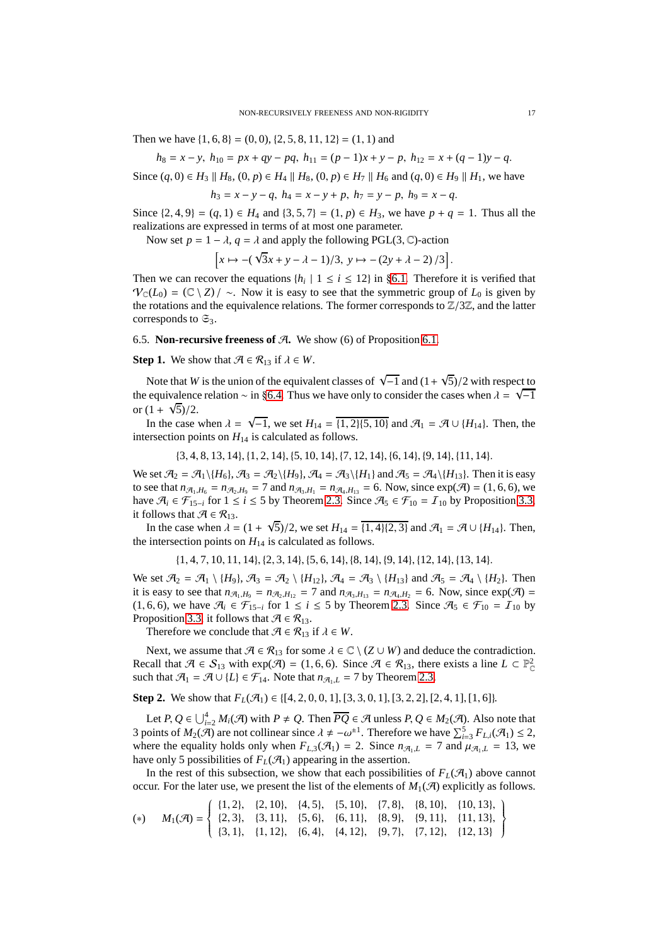Then we have  $\{1, 6, 8\} = (0, 0), \{2, 5, 8, 11, 12\} = (1, 1)$  and

 $h_8 = x - y$ ,  $h_{10} = px + qy - pq$ ,  $h_{11} = (p - 1)x + y - p$ ,  $h_{12} = x + (q - 1)y - q$ .

Since  $(q, 0)$  ∈  $H_3$  ||  $H_8$ ,  $(0, p)$  ∈  $H_4$  ||  $H_8$ ,  $(0, p)$  ∈  $H_7$  ||  $H_6$  and  $(q, 0)$  ∈  $H_9$  ||  $H_1$ , we have

$$
h_3 = x - y - q, h_4 = x - y + p, h_7 = y - p, h_9 = x - q.
$$

Since  $\{2, 4, 9\} = (q, 1) \in H_4$  and  $\{3, 5, 7\} = (1, p) \in H_3$ , we have  $p + q = 1$ . Thus all the realizations are expressed in terms of at most one parameter.

Now set  $p = 1 - \lambda$ ,  $q = \lambda$  and apply the following PGL(3,  $\mathbb{C}$ )-action

$$
\left[x\mapsto -(\sqrt{3}x+y-\lambda-1)/3,\; y\mapsto -(2y+\lambda-2)/3\right].
$$

Then we can recover the equations  $\{h_i \mid 1 \le i \le 12\}$  in §[6.1.](#page-13-2) Therefore it is verified that  $\mathcal{V}_{\mathbb{C}}(L_0) = (\mathbb{C} \setminus Z) / \sim$ . Now it is easy to see that the symmetric group of  $L_0$  is given by the rotations and the equivalence relations. The former corresponds to  $\mathbb{Z}/3\mathbb{Z}$ , and the latter corresponds to  $\mathfrak{S}_3$ .

### 6.5. **Non-recursive freeness of**  $\mathcal{A}$ **.** We show (6) of Proposition [6.1.](#page-14-0)

**Step 1.** We show that  $\mathcal{A} \in \mathcal{R}_{13}$  if  $\lambda \in W$ .

Note that *W* is the union of the equivalent classes of  $\sqrt{-1}$  and  $(1 + \sqrt{5})/2$  with respect to the equivalence relation ∼ in §[6.4.](#page-15-0) Thus we have only to consider the cases when  $\lambda = \sqrt{-1}$ or  $(1 + \sqrt{5})/2$ .

In the case when  $\lambda = \sqrt{-1}$ , we set  $H_{14} = \sqrt{1, 2\{5, 10\}}$  and  $\mathcal{A}_1 = \mathcal{A} \cup \{H_{14}\}$ . Then, the intersection points on  $H_{14}$  is calculated as follows.

{3, 4, 8, 13, 14}, {1, 2, 14}, {5, 10, 14},{7, 12, 14}, {6, 14},{9, 14}, {11, 14}.

We set  $\mathcal{A}_2 = \mathcal{A}_1 \setminus \{H_6\}, \mathcal{A}_3 = \mathcal{A}_2 \setminus \{H_9\}, \mathcal{A}_4 = \mathcal{A}_3 \setminus \{H_1\}$  and  $\mathcal{A}_5 = \mathcal{A}_4 \setminus \{H_{13}\}.$  Then it is easy to see that  $n_{A_1,H_6} = n_{A_2,H_9} = 7$  and  $n_{A_3,H_1} = n_{A_4,H_{13}} = 6$ . Now, since  $exp(\mathcal{A}) = (1, 6, 6)$ , we have  $\mathcal{A}_i$  ∈  $\mathcal{F}_{15-i}$  for  $1 \le i \le 5$  by Theorem [2.3.](#page-3-1) Since  $\mathcal{A}_5 \in \mathcal{F}_{10} = I_{10}$  by Proposition [3.3,](#page-7-2) it follows that  $\mathcal{A} \in \mathcal{R}_{13}$ .

In the case when  $\lambda = (1 + \sqrt{5})/2$ , we set  $H_{14} = \{1, 4\} \{2, 3\}$  and  $\mathcal{A}_1 = \mathcal{A} \cup \{H_{14}\}$ . Then, the intersection points on  $H_{14}$  is calculated as follows.

{1, 4, 7, 10, 11, 14}, {2, 3, 14}, {5, 6, 14},{8, 14}, {9, 14}, {12, 14}, {13, 14}.

We set  $\mathcal{A}_2 = \mathcal{A}_1 \setminus \{H_9\}$ ,  $\mathcal{A}_3 = \mathcal{A}_2 \setminus \{H_{12}\}$ ,  $\mathcal{A}_4 = \mathcal{A}_3 \setminus \{H_{13}\}$  and  $\mathcal{A}_5 = \mathcal{A}_4 \setminus \{H_2\}$ . Then it is easy to see that  $n_{A_1,H_9} = n_{A_2,H_{12}} = 7$  and  $n_{A_3,H_{13}} = n_{A_4,H_2} = 6$ . Now, since  $\exp(A) =$ (1, 6, 6), we have  $\mathcal{A}_i \in \mathcal{F}_{15-i}$  for  $1 \le i \le 5$  by Theorem [2.3.](#page-3-1) Since  $\mathcal{A}_5 \in \mathcal{F}_{10} = I_{10}$  by Proposition [3.3,](#page-7-2) it follows that  $\mathcal{A} \in \mathcal{R}_{13}$ .

Therefore we conclude that  $\mathcal{A} \in \mathcal{R}_{13}$  if  $\lambda \in W$ .

Next, we assume that  $A \in \mathcal{R}_{13}$  for some  $\lambda \in \mathbb{C} \setminus (Z \cup W)$  and deduce the contradiction. Recall that  $\mathcal{A} \in \mathcal{S}_{13}$  with  $\exp(\mathcal{A}) = (1, 6, 6)$ . Since  $\mathcal{A} \in \mathcal{R}_{13}$ , there exists a line  $L \subset \mathbb{P}_{\mathbb{C}}^2$ such that  $\mathcal{A}_1 = \mathcal{A} \cup \{L\} \in \mathcal{F}_{14}$ . Note that  $n_{\mathcal{A}_1, L} = 7$  by Theorem [2.3.](#page-3-1)

<span id="page-16-0"></span>**Step 2.** We show that  $F_L(\mathcal{A}_1) \in \{[4, 2, 0, 0, 1], [3, 3, 0, 1], [3, 2, 2], [2, 4, 1], [1, 6]\}.$ 

Let *P*, *Q* ∈ ∪<sup>4</sup><sub>*i*=2</sub> *M*<sub>*i*</sub>( $\mathcal{A}$ ) with *P* ≠ *Q*. Then  $\overline{PQ}$  ∈  $\mathcal{A}$  unless *P*, *Q* ∈ *M*<sub>2</sub>( $\mathcal{A}$ ). Also note that 3 points of  $M_2(\mathcal{A})$  are not collinear since  $\lambda \neq -\omega^{\pm 1}$ . Therefore we have  $\sum_{i=3}^{5} F_{L,i}(\mathcal{A}_1) \leq 2$ , where the equality holds only when  $F_{L,3}(\mathcal{A}_1) = 2$ . Since  $n_{\mathcal{A}_1,L} = 7$  and  $\mu_{\mathcal{A}_1,L} = 13$ , we have only 5 possibilities of  $F<sub>L</sub>(\mathcal{A}<sub>1</sub>)$  appearing in the assertion.

In the rest of this subsection, we show that each possibilities of  $F_L(\mathcal{A}_1)$  above cannot occur. For the later use, we present the list of the elements of  $M_1(\mathcal{A})$  explicitly as follows.

$$
(*) \quad M_1(\mathcal{A}) = \left\{ \begin{array}{ll} \{1, 2\}, & \{2, 10\}, & \{4, 5\}, & \{5, 10\}, & \{7, 8\}, & \{8, 10\}, & \{10, 13\}, \\ \{2, 3\}, & \{3, 11\}, & \{5, 6\}, & \{6, 11\}, & \{8, 9\}, & \{9, 11\}, & \{11, 13\}, \\ \{3, 1\}, & \{1, 12\}, & \{6, 4\}, & \{4, 12\}, & \{9, 7\}, & \{7, 12\}, & \{12, 13\} \end{array} \right\}
$$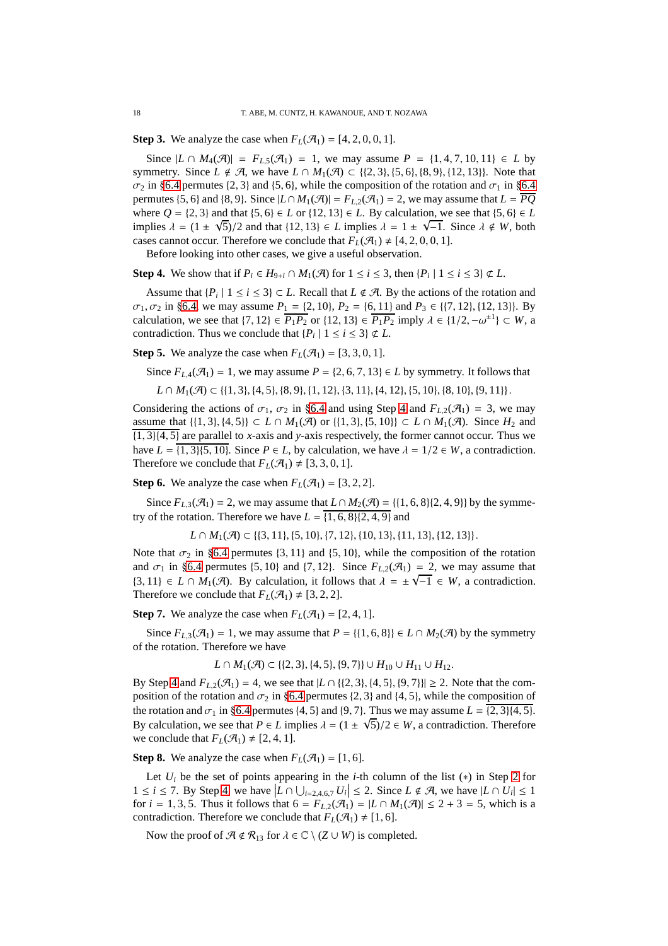**Step 3.** We analyze the case when  $F<sub>L</sub>(\mathcal{A}<sub>1</sub>) = [4, 2, 0, 0, 1]$ .

Since  $|L \cap M_4(\mathcal{A})| = F_{L,5}(\mathcal{A}_1) = 1$ , we may assume  $P = \{1, 4, 7, 10, 11\} \in L$  by symmetry. Since  $L \notin \mathcal{A}$ , we have  $L \cap M_1(\mathcal{A}) \subset \{(2,3), (5,6), (8,9), (12, 13)\}\.$  Note that  $\sigma_2$  in §[6.4](#page-15-0) permutes {2, 3} and {5, 6}, while the composition of the rotation and  $\sigma_1$  in §6.4 permutes {5, 6} and {8, 9}. Since  $|L \cap M_1(\mathcal{A})| = F_{L,2}(\mathcal{A}_1) = 2$ , we may assume that  $L = \overline{PQ}$ where  $Q = \{2, 3\}$  and that  $\{5, 6\} \in L$  or  $\{12, 13\} \in L$ . By calculation, we see that  $\{5, 6\} \in L$ implies  $\lambda = (1 \pm \sqrt{5})/2$  and that  $\{12, 13\} \in L$  implies  $\lambda = 1 \pm \sqrt{-1}$ . Since  $\lambda \notin W$ , both cases cannot occur. Therefore we conclude that  $F_L(\mathcal{A}_1) \neq [4, 2, 0, 0, 1]$ .

Before looking into other cases, we give a useful observation.

<span id="page-17-0"></span>**Step 4.** We show that if  $P_i \in H_{9+i} \cap M_1(\mathcal{A})$  for  $1 \le i \le 3$ , then  $\{P_i \mid 1 \le i \le 3\} \notin L$ .

Assume that  $\{P_i \mid 1 \le i \le 3\} \subset L$ . Recall that  $L \notin \mathcal{A}$ . By the actions of the rotation and  $\sigma_1, \sigma_2$  in §[6.4,](#page-15-0) we may assume  $P_1 = \{2, 10\}$ ,  $P_2 = \{6, 11\}$  and  $P_3 \in \{\{7, 12\}, \{12, 13\}\}\$ . By calculation, we see that  $\{7, 12\} \in \overline{P_1P_2}$  or  $\{12, 13\} \in \overline{P_1P_2}$  imply  $\lambda \in \{1/2, -\omega^{\pm 1}\} \subset W$ , a contradiction. Thus we conclude that  $\{P_i \mid 1 \le i \le 3\} \not\subset L$ .

**Step 5.** We analyze the case when  $F_L(\mathcal{A}_1) = [3, 3, 0, 1]$ .

Since  $F_{L_4}(\mathcal{A}_1) = 1$ , we may assume  $P = \{2, 6, 7, 13\} \in L$  by symmetry. It follows that

 $L \cap M_1(\mathcal{A}) \subset \{ \{1, 3\}, \{4, 5\}, \{8, 9\}, \{1, 12\}, \{3, 11\}, \{4, 12\}, \{5, 10\}, \{8, 10\}, \{9, 11\} \}.$ 

Considering the actions of  $\sigma_1$ ,  $\sigma_2$  in §[6.4](#page-15-0) and using Step [4](#page-17-0) and  $F_{L,2}(\mathcal{A}_1) = 3$ , we may assume that  $\{\{1, 3\}, \{4, 5\}\}\subset L \cap M_1(\mathcal{A})$  or  $\{\{1, 3\}, \{5, 10\}\}\subset L \cap M_1(\mathcal{A})$ . Since  $H_2$  and  $\overline{\{1,3\}\{4,5\}}$  are parallel to *x*-axis and *y*-axis respectively, the former cannot occur. Thus we have  $L = \{1, 3\}$  *S*, 10*}*. Since  $P \in L$ , by calculation, we have  $\lambda = 1/2 \in W$ , a contradiction. Therefore we conclude that  $F_L(\mathcal{A}_1) \neq [3, 3, 0, 1]$ .

**Step 6.** We analyze the case when  $F<sub>L</sub>(\mathcal{A}<sub>1</sub>) = [3, 2, 2]$ .

Since  $F_{L,3}(\mathcal{A}_1) = 2$ , we may assume that  $L \cap M_2(\mathcal{A}) = \{(1, 6, 8)\{2, 4, 9\}\}\$  by the symmetry of the rotation. Therefore we have  $L = \{1, 6, 8\}, \{2, 4, 9\}$  and

 $L \cap M_1(\mathcal{A}) \subset \{ \{3, 11\}, \{5, 10\}, \{7, 12\}, \{10, 13\}, \{11, 13\}, \{12, 13\} \}.$ 

Note that  $\sigma_2$  in §[6.4](#page-15-0) permutes {3, 11} and {5, 10}, while the composition of the rotation and  $\sigma_1$  in §[6.4](#page-15-0) permutes {5, 10} and {7, 12}. Since  $F_{L,2}(\mathcal{A}_1) = 2$ , we may assume that {3, 11} ∈ *L* ∩ *M*<sub>1</sub>( $\mathcal{A}$ ). By calculation, it follows that  $\lambda = \pm \sqrt{-1} \in W$ , a contradiction. Therefore we conclude that  $F_L(\mathcal{A}_1) \neq [3, 2, 2]$ .

**Step 7.** We analyze the case when  $F<sub>L</sub>(\mathcal{A}<sub>1</sub>) = [2, 4, 1].$ 

Since  $F_{L,3}(\mathcal{A}_1) = 1$ , we may assume that  $P = \{ \{1, 6, 8\} \} \in L \cap M_2(\mathcal{A})$  by the symmetry of the rotation. Therefore we have

$$
L \cap M_1(\mathcal{A}) \subset \{ \{2, 3\}, \{4, 5\}, \{9, 7\} \} \cup H_{10} \cup H_{11} \cup H_{12}.
$$

By Step [4](#page-17-0) and  $F_{L,2}(\mathcal{A}_1) = 4$ , we see that  $|L \cap \{(2,3), (4,5), (9,7)\}| \ge 2$ . Note that the composition of the rotation and  $\sigma_2$  in §[6.4](#page-15-0) permutes {2, 3} and {4, 5}, while the composition of the rotation and  $\sigma_1$  in §[6.4](#page-15-0) permutes {4, 5} and {9, 7}. Thus we may assume  $L = \{2, 3\}$ {4, 5}. By calculation, we see that  $P \in L$  implies  $\lambda = (1 \pm \sqrt{5})/2 \in W$ , a contradiction. Therefore we conclude that  $F_L(\mathcal{A}_1) \neq [2, 4, 1].$ 

**Step 8.** We analyze the case when  $F<sub>L</sub>(\mathcal{A}<sub>1</sub>) = [1, 6].$ 

Let  $U_i$  be the set of points appearing in the *i*-th column of the list (\*) in Step [2](#page-16-0) for  $1 \le i \le 7$ . By Step [4,](#page-17-0) we have  $|L \cap \bigcup_{i=2,4,6,7} U_i| \le 2$ . Since  $L \notin \mathcal{A}$ , we have  $|L \cap U_i| \le 1$  for  $i = 1, 3, 5$ . Thus it follows that  $6 = E_{i-1}(\mathcal{A}_{i}) = |I \cap M_{i}(\mathcal{A})| \le 2 + 3 = 5$ , which is a for  $i = 1, 3, 5$ . Thus it follows that  $6 = F_{L,2}(\mathcal{A}_1) = |L \cap M_1(\mathcal{A})| \leq 2 + 3 = 5$ , which is a contradiction. Therefore we conclude that  $F_L(\mathcal{A}_1) \neq [1, 6]$ .

Now the proof of  $\mathcal{A} \notin \mathcal{R}_{13}$  for  $\lambda \in \mathbb{C} \setminus (Z \cup W)$  is completed.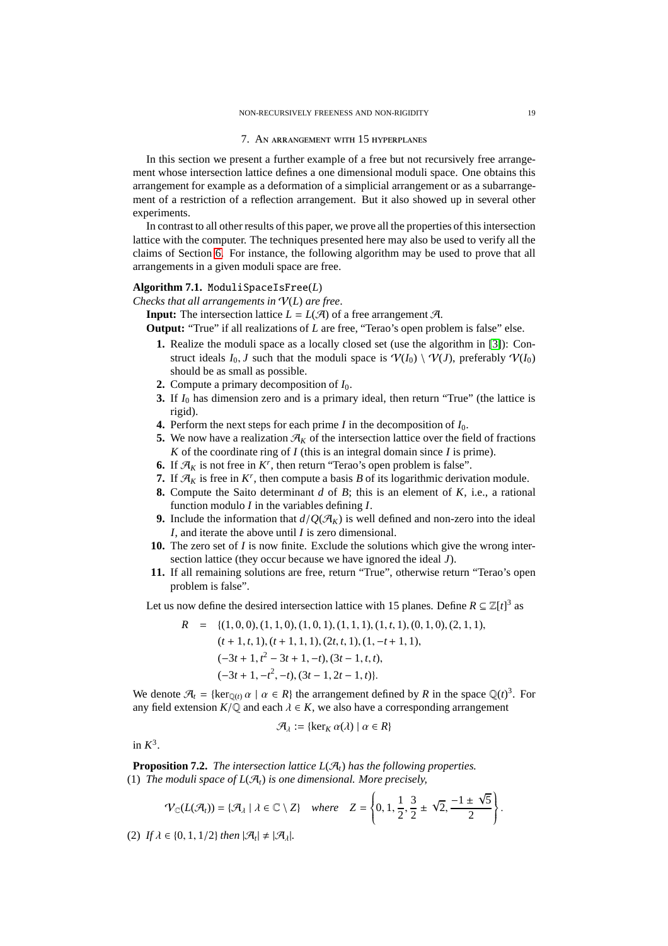#### 7. An arrangement with 15 hyperplanes

<span id="page-18-0"></span>In this section we present a further example of a free but not recursively free arrangement whose intersection lattice defines a one dimensional moduli space. One obtains this arrangement for example as a deformation of a simplicial arrangement or as a subarrangement of a restriction of a reflection arrangement. But it also showed up in several other experiments.

In contrast to all other results of this paper, we prove all the properties of this intersection lattice with the computer. The techniques presented here may also be used to verify all the claims of Section [6.](#page-13-1) For instance, the following algorithm may be used to prove that all arrangements in a given moduli space are free.

# <span id="page-18-1"></span>**Algorithm 7.1.** ModuliSpaceIsFree(*L*)

*Checks that all arrangements in* V(*L*) *are free*.

**Input:** The intersection lattice  $L = L(\mathcal{A})$  of a free arrangement  $\mathcal{A}$ .

**Output:** "True" if all realizations of *L* are free, "Terao's open problem is false" else.

- **1.** Realize the moduli space as a locally closed set (use the algorithm in [\[3\]](#page-20-17)): Construct ideals  $I_0$ , *J* such that the moduli space is  $\mathcal{V}(I_0) \setminus \mathcal{V}(J)$ , preferably  $\mathcal{V}(I_0)$ should be as small as possible.
- **2.** Compute a primary decomposition of *I*0.
- **3.** If  $I_0$  has dimension zero and is a primary ideal, then return "True" (the lattice is rigid).
- **4.** Perform the next steps for each prime *I* in the decomposition of *I*0.
- **5.** We now have a realization  $\mathcal{A}_K$  of the intersection lattice over the field of fractions *K* of the coordinate ring of *I* (this is an integral domain since *I* is prime).
- **6.** If  $\mathcal{A}_K$  is not free in  $K^r$ , then return "Terao's open problem is false".
- **7.** If  $\mathcal{A}_K$  is free in  $K^r$ , then compute a basis *B* of its logarithmic derivation module.
- **8.** Compute the Saito determinant *d* of *B*; this is an element of *K*, i.e., a rational function modulo *I* in the variables defining *I*.
- **9.** Include the information that  $d/Q(\mathcal{A}_K)$  is well defined and non-zero into the ideal *I*, and iterate the above until *I* is zero dimensional.
- **10.** The zero set of *I* is now finite. Exclude the solutions which give the wrong intersection lattice (they occur because we have ignored the ideal *J*).
- **11.** If all remaining solutions are free, return "True", otherwise return "Terao's open problem is false".

Let us now define the desired intersection lattice with 15 planes. Define  $R \subseteq \mathbb{Z}[t]^3$  as

$$
R = \{(1, 0, 0), (1, 1, 0), (1, 0, 1), (1, 1, 1), (1, t, 1), (0, 1, 0), (2, 1, 1), (t + 1, t, 1), (t + 1, 1, 1), (2t, t, 1), (1, -t + 1, 1), (-3t + 1, t2 - 3t + 1, -t), (3t - 1, t, t), (-3t + 1, -t2, -t), (3t - 1, 2t - 1, t)].
$$

We denote  $\mathcal{A}_t = \{\ker_{\mathbb{Q}(t)} \alpha \mid \alpha \in R\}$  the arrangement defined by R in the space  $\mathbb{Q}(t)^3$ . For any field extension  $K/\mathbb{Q}$  and each  $\lambda \in K$ , we also have a corresponding arrangement

$$
\mathcal{A}_\lambda:=\{\ker_K\alpha(\lambda)\mid \alpha\in R\}
$$

in  $K^3$ .

**Proposition 7.2.** *The intersection lattice*  $L(\mathcal{A}<sub>t</sub>)$  *has the following properties.* (1) *The moduli space of*  $L(\mathcal{A}_t)$  *is one dimensional. More precisely,* 

$$
\mathcal{V}_{\mathbb{C}}(L(\mathcal{A}_t)) = \{ \mathcal{A}_{\lambda} \mid \lambda \in \mathbb{C} \setminus Z \} \quad where \quad Z = \left\{ 0, 1, \frac{1}{2}, \frac{3}{2} \pm \sqrt{2}, \frac{-1 \pm \sqrt{5}}{2} \right\}.
$$

 $\equiv$ 

(2) If  $\lambda \in \{0, 1, 1/2\}$  then  $|\mathcal{A}_t| \neq |\mathcal{A}_\lambda|$ .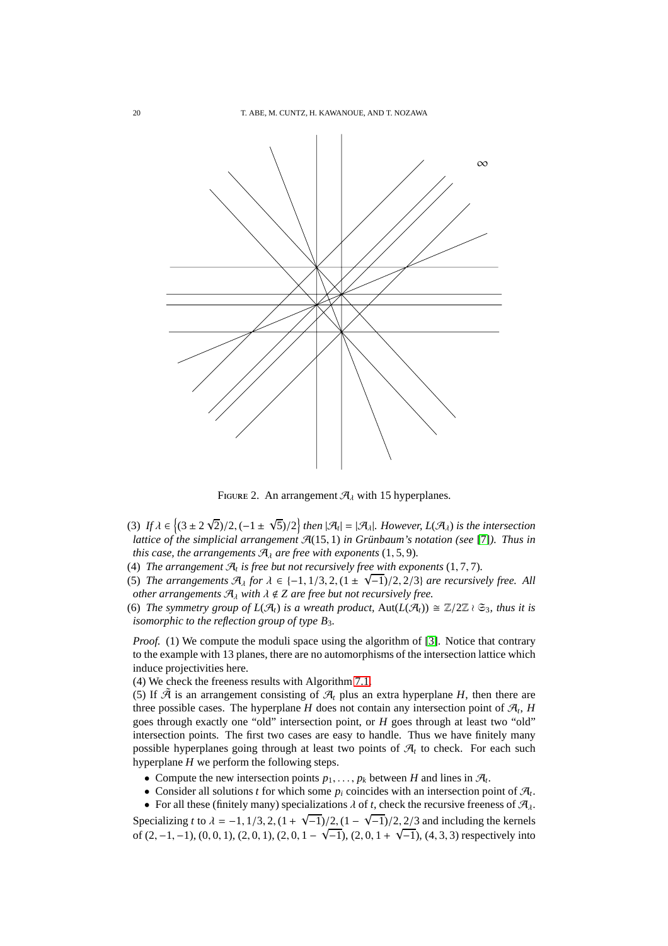

FIGURE 2. An arrangement  $\mathcal{A}_{\lambda}$  with 15 hyperplanes.

- (3) If  $\lambda \in \{(3 \pm 2\sqrt{2})/2, (-1 \pm \sqrt{5})/2\}$  then  $|\mathcal{A}_t| = |\mathcal{A}_\lambda|$ *. However, L*( $\mathcal{A}_\lambda$ ) is the intersection *lattice of the simplicial arrangement*  $\mathcal{A}(15, 1)$  *in Grünbaum's notation (see* [\[7\]](#page-20-18)). Thus in *this case, the arrangements*  $\mathcal{A}_{\lambda}$  *are free with exponents* (1, 5, 9).
- (4) *The arrangement*  $\mathcal{A}_t$  *is free but not recursively free with exponents* (1,7,7)*.*
- (5) *The arrangements*  $\mathcal{A}_\lambda$  *for*  $\lambda \in \{-1, 1/3, 2, (1 \pm \sqrt{-1})/2, 2/3\}$  *are recursively free. All other arrangements*  $\mathcal{A}_{\lambda}$  *with*  $\lambda \notin \mathbb{Z}$  *are free but not recursively free.*
- (6) *The symmetry group of*  $L(\mathcal{A}_t)$  *is a wreath product,*  $Aut(L(\mathcal{A}_t)) \cong \mathbb{Z}/2\mathbb{Z} \wr \mathfrak{S}_3$ *, thus it is isomorphic to the reflection group of type B*3*.*

*Proof.* (1) We compute the moduli space using the algorithm of [\[3\]](#page-20-17). Notice that contrary to the example with 13 planes, there are no automorphisms of the intersection lattice which induce projectivities here.

(4) We check the freeness results with Algorithm [7.1.](#page-18-1)

(5) If  $\tilde{A}$  is an arrangement consisting of  $\mathcal{A}_t$  plus an extra hyperplane *H*, then there are three possible cases. The hyperplane *H* does not contain any intersection point of  $\mathcal{A}_t$ , *H* goes through exactly one "old" intersection point, or *H* goes through at least two "old" intersection points. The first two cases are easy to handle. Thus we have finitely many possible hyperplanes going through at least two points of  $\mathcal{A}_t$  to check. For each such hyperplane *H* we perform the following steps.

- Compute the new intersection points  $p_1, \ldots, p_k$  between *H* and lines in  $\mathcal{A}_t$ .
- Consider all solutions *t* for which some  $p_i$  coincides with an intersection point of  $\mathcal{A}_t$ .
- For all these (finitely many) specializations  $\lambda$  of t, check the recursive freeness of  $\mathcal{A}_{\lambda}$ . Specializing *t* to  $\lambda = -1, 1/3, 2, (1 + \sqrt{-1})/2, (1 - \sqrt{-1})/2, 2/3$  and including the kernels of (2, −1, −1), (0, 0, 1), (2, 0, 1), (2, 0, 1 −  $\sqrt{-1}$ ), (2, 0, 1 +  $\sqrt{-1}$ ), (4, 3, 3) respectively into